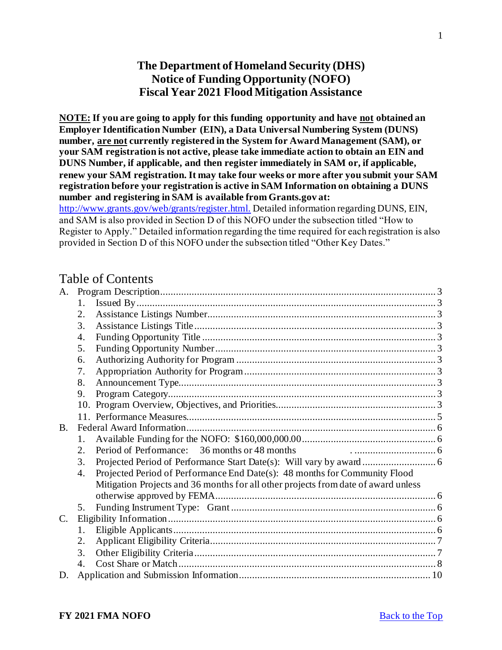# **The Department of Homeland Security (DHS) Notice of Funding Opportunity (NOFO) Fiscal Year 2021 Flood Mitigation Assistance**

<span id="page-0-0"></span>**NOTE: If you are going to apply for this funding opportunity and have not obtained an Employer Identification Number (EIN), a Data Universal Numbering System (DUNS) number, are not currently registered in the System for Award Management (SAM), or your SAM registration is not active, please take immediate action to obtain an EIN and DUNS Number, if applicable, and then register immediately in SAM or, if applicable, renew your SAM registration. It may take four weeks or more after you submit your SAM registration before your registration is active in SAM Information on obtaining a DUNS number and registering in SAM is available from Grants.gov at:** 

[http://www.grants.gov/web/grants/register.html.](http://www.grants.gov/web/grants/register.html) Detailed information regarding DUNS, EIN, and SAM is also provided in Section D of this NOFO under the subsection titled "How to Register to Apply." Detailed information regarding the time required for each registration is also provided in Section D of this NOFO under the subsection titled "Other Key Dates."

# Table of Contents

| A.          |    |                                                                                    |  |
|-------------|----|------------------------------------------------------------------------------------|--|
|             | 1. |                                                                                    |  |
|             | 2. |                                                                                    |  |
|             | 3. |                                                                                    |  |
|             | 4. |                                                                                    |  |
|             | 5. |                                                                                    |  |
|             | 6. |                                                                                    |  |
|             | 7. |                                                                                    |  |
|             | 8. |                                                                                    |  |
|             | 9. |                                                                                    |  |
|             |    |                                                                                    |  |
|             |    |                                                                                    |  |
| <b>B.</b>   |    |                                                                                    |  |
|             | 1. |                                                                                    |  |
|             | 2. | Period of Performance: 36 months or 48 months                                      |  |
|             | 3. |                                                                                    |  |
|             | 4. | Projected Period of Performance End Date(s): 48 months for Community Flood         |  |
|             |    | Mitigation Projects and 36 months for all other projects from date of award unless |  |
|             |    |                                                                                    |  |
|             | 5. |                                                                                    |  |
| $C_{\cdot}$ |    |                                                                                    |  |
|             | 1. |                                                                                    |  |
|             | 2. |                                                                                    |  |
|             | 3. |                                                                                    |  |
|             | 4. |                                                                                    |  |
|             |    |                                                                                    |  |

1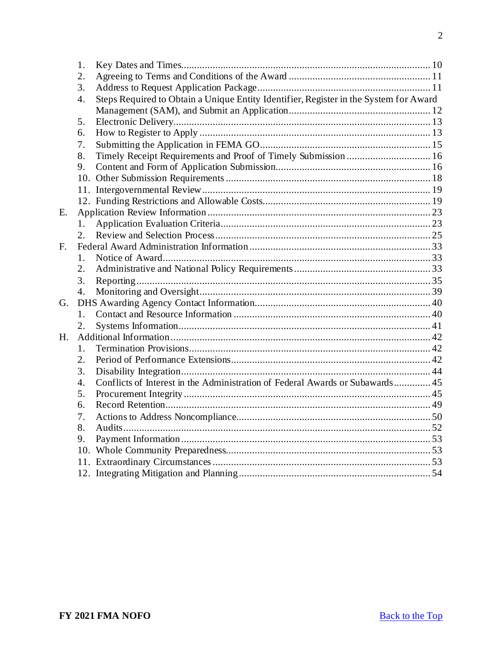|    | 1.               |                                                                                       |  |
|----|------------------|---------------------------------------------------------------------------------------|--|
|    | 2.               |                                                                                       |  |
|    | 3.               |                                                                                       |  |
|    | 4.               | Steps Required to Obtain a Unique Entity Identifier, Register in the System for Award |  |
|    |                  |                                                                                       |  |
|    | 5.               |                                                                                       |  |
|    | 6.               |                                                                                       |  |
|    | 7.               |                                                                                       |  |
|    | 8.               | Timely Receipt Requirements and Proof of Timely Submission  16                        |  |
|    | 9.               |                                                                                       |  |
|    |                  |                                                                                       |  |
|    |                  |                                                                                       |  |
|    |                  |                                                                                       |  |
| Ε. |                  |                                                                                       |  |
|    | 1.               |                                                                                       |  |
|    | 2.               |                                                                                       |  |
| F. |                  |                                                                                       |  |
|    | $1_{-}$          |                                                                                       |  |
|    | $\overline{2}$ . |                                                                                       |  |
|    | 3.               |                                                                                       |  |
|    | 4.               |                                                                                       |  |
| G. |                  |                                                                                       |  |
|    | 1.               |                                                                                       |  |
|    | 2.               |                                                                                       |  |
| H. |                  |                                                                                       |  |
|    | 1.               |                                                                                       |  |
|    | $\overline{2}$ . |                                                                                       |  |
|    | 3.               |                                                                                       |  |
|    | $\overline{4}$ . | Conflicts of Interest in the Administration of Federal Awards or Subawards 45         |  |
|    | 5.               |                                                                                       |  |
|    | 6.               |                                                                                       |  |
|    | 7.               |                                                                                       |  |
|    | 8.               |                                                                                       |  |
|    | 9.               |                                                                                       |  |
|    |                  |                                                                                       |  |
|    |                  |                                                                                       |  |
|    |                  |                                                                                       |  |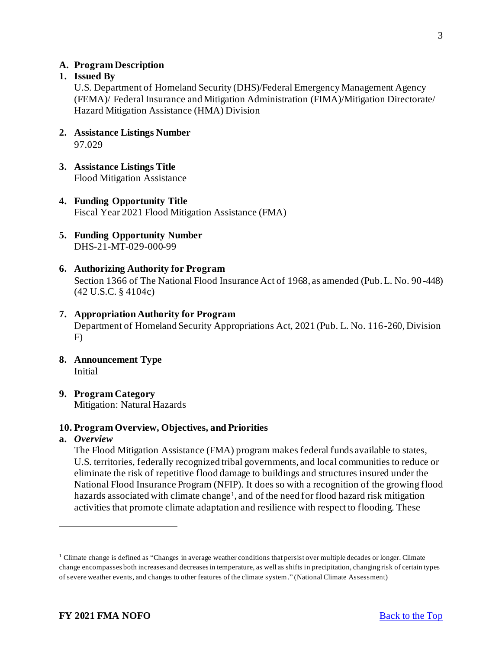#### <span id="page-2-0"></span>**A. Program Description**

#### <span id="page-2-1"></span>**1. Issued By**

U.S. Department of Homeland Security (DHS)/Federal Emergency Management Agency (FEMA)/ Federal Insurance and Mitigation Administration (FIMA)/Mitigation Directorate/ Hazard Mitigation Assistance (HMA) Division

- <span id="page-2-2"></span>**2. Assistance Listings Number** 97.029
- <span id="page-2-3"></span>**3. Assistance Listings Title** Flood Mitigation Assistance
- <span id="page-2-4"></span>**4. Funding Opportunity Title** Fiscal Year 2021 Flood Mitigation Assistance (FMA)
- <span id="page-2-5"></span>**5. Funding Opportunity Number** DHS-21-MT-029-000-99
- <span id="page-2-6"></span>**6. Authorizing Authority for Program** Section 1366 of The National Flood Insurance Act of 1968, as amended (Pub. L. No. 90 -448) (42 U.S.C. § 4104c)

#### <span id="page-2-7"></span>**7. Appropriation Authority for Program**

Department of Homeland Security Appropriations Act, 2021 (Pub. L. No. 116-260, Division F)

- <span id="page-2-8"></span>**8. Announcement Type** Initial
- <span id="page-2-9"></span>**9. Program Category** Mitigation: Natural Hazards

#### <span id="page-2-10"></span>**10. Program Overview, Objectives, and Priorities**

#### **a.** *Overview*

The Flood Mitigation Assistance (FMA) program makes federal funds available to states, U.S. territories, federally recognized tribal governments, and local communities to reduce or eliminate the risk of repetitive flood damage to buildings and structures insured under the National Flood Insurance Program (NFIP). It does so with a recognition of the growing flood hazards associated with climate change<sup>1</sup>, and of the need for flood hazard risk mitigation activities that promote climate adaptation and resilience with respect to flooding. These

<sup>&</sup>lt;sup>1</sup> Climate change is defined as "Changes in average weather conditions that persist over multiple decades or longer. Climate change encompasses both increases and decreases in temperature, as well as shifts in precipitation, changing risk of certain types of severe weather events, and changes to other features of the climate system." (National Climate Assessment)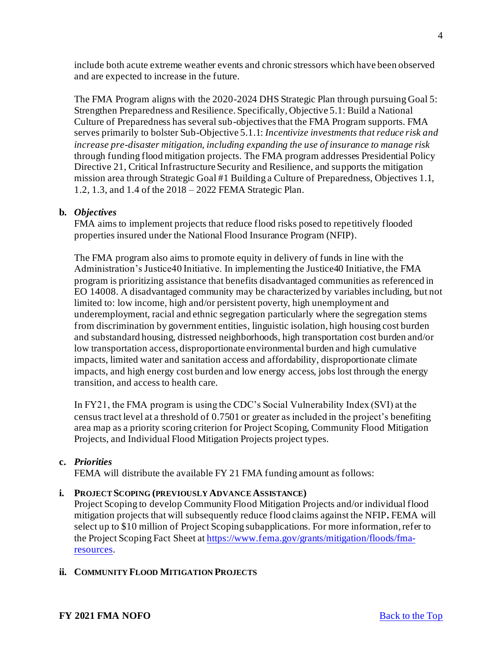include both acute extreme weather events and chronic stressors which have been observed and are expected to increase in the future.

The FMA Program aligns with the 2020-2024 DHS Strategic Plan through pursuing Goal 5: Strengthen Preparedness and Resilience. Specifically, Objective 5.1: Build a National Culture of Preparedness has several sub-objectives that the FMA Program supports. FMA serves primarily to bolster Sub-Objective 5.1.1: *Incentivize investments that reduce risk and increase pre-disaster mitigation, including expanding the use of insurance to manage risk* through funding flood mitigation projects. The FMA program addresses Presidential Policy Directive 21, Critical Infrastructure Security and Resilience, and supports the mitigation mission area through Strategic Goal #1 Building a Culture of Preparedness, Objectives 1.1, 1.2, 1.3, and 1.4 of the 2018 – 2022 FEMA Strategic Plan.

## **b.** *Objectives*

FMA aims to implement projects that reduce flood risks posed to repetitively flooded properties insured under the National Flood Insurance Program (NFIP).

The FMA program also aims to promote equity in delivery of funds in line with the Administration's Justice40 Initiative. In implementing the Justice40 Initiative, the FMA program is prioritizing assistance that benefits disadvantaged communities as referenced in EO 14008. A disadvantaged community may be characterized by variables including, but not limited to: low income, high and/or persistent poverty, high unemployment and underemployment, racial and ethnic segregation particularly where the segregation stems from discrimination by government entities, linguistic isolation, high housing cost burden and substandard housing, distressed neighborhoods, high transportation cost burden and/or low transportation access, disproportionate environmental burden and high cumulative impacts, limited water and sanitation access and affordability, disproportionate climate impacts, and high energy cost burden and low energy access, jobs lost through the energy transition, and access to health care.

In FY21, the FMA program is using the CDC's Social Vulnerability Index (SVI) at the census tract level at a threshold of 0.7501 or greater as included in the project's benefiting area map as a priority scoring criterion for Project Scoping, Community Flood Mitigation Projects, and Individual Flood Mitigation Projects project types.

# **c.** *Priorities*

FEMA will distribute the available FY 21 FMA funding amount as follows:

#### **i. PROJECT SCOPING (PREVIOUSLY ADVANCE ASSISTANCE)**

Project Scoping to develop Community Flood Mitigation Projects and/or individual flood mitigation projects that will subsequently reduce flood claims against the NFIP**.** FEMA will select up to \$10 million of Project Scoping subapplications. For more information, refer to the Project Scoping Fact Sheet at [https://www.fema.gov/grants/mitigation/floods/fma](https://www.fema.gov/grants/mitigation/floods/fma-resources)resources.

#### **ii. COMMUNITY FLOOD MITIGATION PROJECTS**

# **FY 2021 FMA NOFO [Back to the Top](#page-0-0)**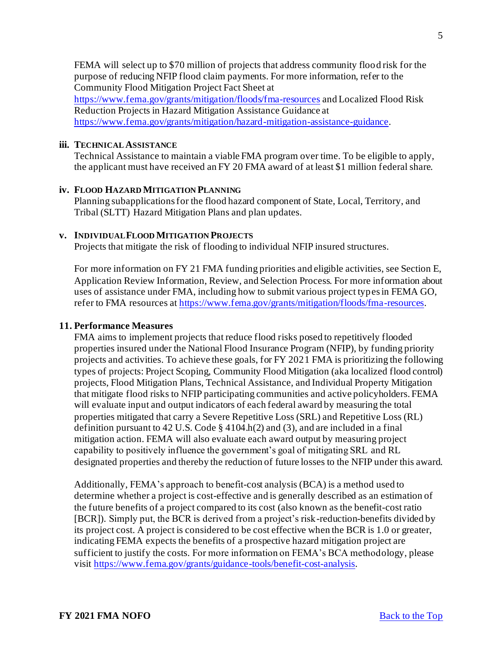FEMA will select up to \$70 million of projects that address community flood risk for the purpose of reducing NFIP flood claim payments. For more information, refer to the Community Flood Mitigation Project Fact Sheet at

<https://www.fema.gov/grants/mitigation/floods/fma-resources> and Localized Flood Risk Reduction Projects in Hazard Mitigation Assistance Guidance at <https://www.fema.gov/grants/mitigation/hazard-mitigation-assistance-guidance>.

#### **iii. TECHNICAL ASSISTANCE**

Technical Assistance to maintain a viable FMA program over time. To be eligible to apply, the applicant must have received an FY 20 FMA award of at least \$1 million federal share.

#### **iv. FLOOD HAZARD MITIGATION PLANNING**

Planning subapplications for the flood hazard component of State, Local, Territory, and Tribal (SLTT) Hazard Mitigation Plans and plan updates.

#### **v. INDIVIDUAL FLOOD MITIGATION PROJECTS**

Projects that mitigate the risk of flooding to individual NFIP insured structures.

For more information on FY 21 FMA funding priorities and eligible activities, see Section E, Application Review Information, Review, and Selection Process. For more information about uses of assistance under FMA, including how to submit various project types in FEMA GO, refer to FMA resources at <https://www.fema.gov/grants/mitigation/floods/fma-resources>.

#### <span id="page-4-0"></span>**11. Performance Measures**

FMA aims to implement projects that reduce flood risks posed to repetitively flooded properties insured under the National Flood Insurance Program (NFIP), by funding priority projects and activities. To achieve these goals, for FY 2021 FMA is prioritizing the following types of projects: Project Scoping, Community Flood Mitigation (aka localized flood control) projects, Flood Mitigation Plans, Technical Assistance, and Individual Property Mitigation that mitigate flood risks to NFIP participating communities and active policyholders. FEMA will evaluate input and output indicators of each federal award by measuring the total properties mitigated that carry a Severe Repetitive Loss (SRL) and Repetitive Loss (RL) definition pursuant to 42 U.S. Code  $\S$  4104.h(2) and (3), and are included in a final mitigation action. FEMA will also evaluate each award output by measuring project capability to positively influence the government's goal of mitigating SRL and RL designated properties and thereby the reduction of future losses to the NFIP under this award.

Additionally, FEMA's approach to benefit-cost analysis (BCA) is a method used to determine whether a project is cost-effective and is generally described as an estimation of the future benefits of a project compared to its cost (also known as the benefit-cost ratio [BCR]). Simply put, the BCR is derived from a project's risk-reduction-benefits divided by its project cost. A project is considered to be cost effective when the BCR is 1.0 or greater, indicating FEMA expects the benefits of a prospective hazard mitigation project are sufficient to justify the costs. For more information on FEMA's BCA methodology, please visit <https://www.fema.gov/grants/guidance-tools/benefit-cost-analysis>.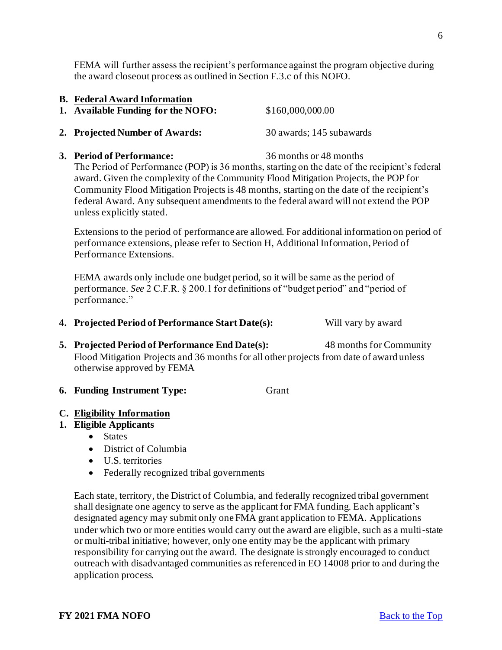<span id="page-5-2"></span>**3. Period of Performance:** 36 months or 48 months

the award closeout process as outlined in Section F.3.c of this NOFO.

The Period of Performance (POP) is 36 months, starting on the date of the recipient's federal award. Given the complexity of the Community Flood Mitigation Projects, the POP for Community Flood Mitigation Projects is 48 months, starting on the date of the recipient's federal Award. Any subsequent amendments to the federal award will not extend the POP unless explicitly stated.

Extensions to the period of performance are allowed. For additional information on period of performance extensions, please refer to Section H, Additional Information, Period of Performance Extensions.

FEMA awards only include one budget period, so it will be same as the period of performance. *See* 2 C.F.R. § 200.1 for definitions of "budget period" and "period of performance."

- <span id="page-5-3"></span>**4. Projected Period of Performance Start Date(s):** Will vary by award
- <span id="page-5-4"></span>**5. Projected Period of Performance End Date(s):** 48 months for Community Flood Mitigation Projects and 36 months for all other projects from date of award unless otherwise approved by FEMA

<span id="page-5-5"></span>**6. Funding Instrument Type:** Grant

#### <span id="page-5-6"></span>**C. Eligibility Information**

#### <span id="page-5-7"></span>**1. Eligible Applicants**

- States
- District of Columbia
- U.S. territories
- Federally recognized tribal governments

Each state, territory, the District of Columbia, and federally recognized tribal government shall designate one agency to serve as the applicant for FMA funding. Each applicant's designated agency may submit only one FMA grant application to FEMA. Applications under which two or more entities would carry out the award are eligible, such as a multi-state or multi-tribal initiative; however, only one entity may be the applicant with primary responsibility for carrying out the award. The designate is strongly encouraged to conduct outreach with disadvantaged communities as referenced in EO 14008 prior to and during the application process.

<span id="page-5-0"></span>**B. Federal Award Information** 

- <span id="page-5-1"></span>
	- **1. Available Funding for the NOFO:** \$160,000,000.00
	-

**2. Projected Number of Awards:** 30 awards; 145 subawards

FEMA will further assess the recipient's performance against the program objective during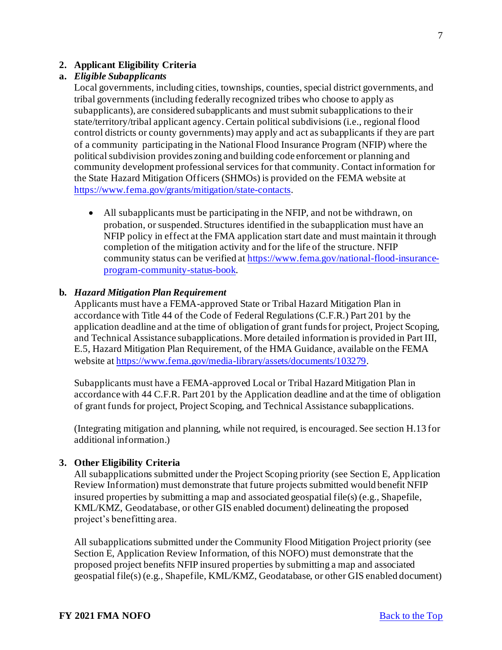#### <span id="page-6-0"></span>**2. Applicant Eligibility Criteria**

#### **a.** *Eligible Subapplicants*

Local governments, including cities, townships, counties, special district governments, and tribal governments (including federally recognized tribes who choose to apply as subapplicants), are considered subapplicants and must submit subapplications to their state/territory/tribal applicant agency. Certain political subdivisions (i.e., regional flood control districts or county governments) may apply and act as subapplicants if they are part of a community participating in the National Flood Insurance Program (NFIP) where the political subdivision provides zoning and building code enforcement or planning and community development professional services for that community. Contact information for the State Hazard Mitigation Officers (SHMOs) is provided on the FEMA website at <https://www.fema.gov/grants/mitigation/state-contacts>.

• All subapplicants must be participating in the NFIP, and not be withdrawn, on probation, or suspended. Structures identified in the subapplication must have an NFIP policy in effect at the FMA application start date and must maintain it through completion of the mitigation activity and for the life of the structure. NFIP [community status can be verified at https://www.fema.gov/national-flood-insurance](https://www.fema.gov/national-flood-insurance-program-community-status-book)program-community-status-book.

#### **b.** *Hazard Mitigation Plan Requirement*

Applicants must have a FEMA-approved State or Tribal Hazard Mitigation Plan in accordance with Title 44 of the Code of Federal Regulations (C.F.R.) Part 201 by the application deadline and at the time of obligation of grant funds for project, Project Scoping, and Technical Assistance subapplications. More detailed information is provided in Part III, E.5, Hazard Mitigation Plan Requirement, of the HMA Guidance, available on the FEMA website a[t https://www.fema.gov/media-library/assets/documents/103279](https://www.fema.gov/media-library/assets/documents/103279).

Subapplicants must have a FEMA-approved Local or Tribal Hazard Mitigation Plan in accordance with 44 C.F.R. Part 201 by the Application deadline and at the time of obligation of grant funds for project, Project Scoping, and Technical Assistance subapplications.

(Integrating mitigation and planning, while not required, is encouraged. See section H.13 for additional information.)

#### <span id="page-6-1"></span>**3. Other Eligibility Criteria**

All subapplications submitted under the Project Scoping priority (see Section E, Application Review Information) must demonstrate that future projects submitted would benefit NFIP insured properties by submitting a map and associated geospatial file(s) (e.g., Shapefile, KML/KMZ, Geodatabase, or other GIS enabled document) delineating the proposed project's benefitting area.

All subapplications submitted under the Community Flood Mitigation Project priority (see Section E, Application Review Information, of this NOFO) must demonstrate that the proposed project benefits NFIP insured properties by submitting a map and associated geospatial file(s) (e.g., Shapefile, KML/KMZ, Geodatabase, or other GIS enabled document)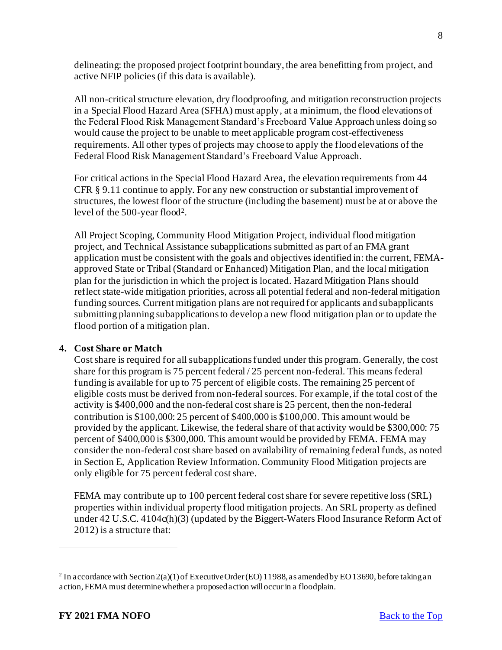delineating: the proposed project footprint boundary, the area benefitting from project, and active NFIP policies (if this data is available).

All non-critical structure elevation, dry floodproofing, and mitigation reconstruction projects in a Special Flood Hazard Area (SFHA) must apply, at a minimum, the flood elevations of the Federal Flood Risk Management Standard's Freeboard Value Approach unless doing so would cause the project to be unable to meet applicable program cost-effectiveness requirements. All other types of projects may choose to apply the flood elevations of the Federal Flood Risk Management Standard's Freeboard Value Approach.

For critical actions in the Special Flood Hazard Area, the elevation requirements from 44 CFR § 9.11 continue to apply. For any new construction or substantial improvement of structures, the lowest floor of the structure (including the basement) must be at or above the level of the 500-year flood<sup>2</sup> .

All Project Scoping, Community Flood Mitigation Project, individual flood mitigation project, and Technical Assistance subapplications submitted as part of an FMA grant application must be consistent with the goals and objectives identified in: the current, FEMAapproved State or Tribal (Standard or Enhanced) Mitigation Plan, and the local mitigation plan for the jurisdiction in which the project is located. Hazard Mitigation Plans should reflect state-wide mitigation priorities, across all potential federal and non-federal mitigation funding sources. Current mitigation plans are not required for applicants and subapplicants submitting planning subapplications to develop a new flood mitigation plan or to update the flood portion of a mitigation plan.

#### <span id="page-7-0"></span>**4. Cost Share or Match**

Cost share is required for all subapplications funded under this program. Generally, the cost share for this program is 75 percent federal / 25 percent non-federal. This means federal funding is available for up to 75 percent of eligible costs. The remaining 25 percent of eligible costs must be derived from non-federal sources. For example, if the total cost of the activity is \$400,000 and the non-federal cost share is 25 percent, then the non-federal contribution is \$100,000: 25 percent of \$400,000 is \$100,000. This amount would be provided by the applicant. Likewise, the federal share of that activity would be \$300,000: 75 percent of \$400,000 is \$300,000. This amount would be provided by FEMA. FEMA may consider the non-federal cost share based on availability of remaining federal funds, as noted in Section E, Application Review Information. Community Flood Mitigation projects are only eligible for 75 percent federal cost share.

FEMA may contribute up to 100 percent federal cost share for severe repetitive loss (SRL) properties within individual property flood mitigation projects. An SRL property as defined under 42 U.S.C. 4104c(h)(3) (updated by the Biggert*-*Waters Flood Insurance Reform Act of 2012) is a structure that:

<sup>&</sup>lt;sup>2</sup> In accordance with Section 2(a)(1) of Executive Order (EO) 11988, as amended by EO 13690, before taking an action, FEMA must determine whether a proposed action will occur in a floodplain.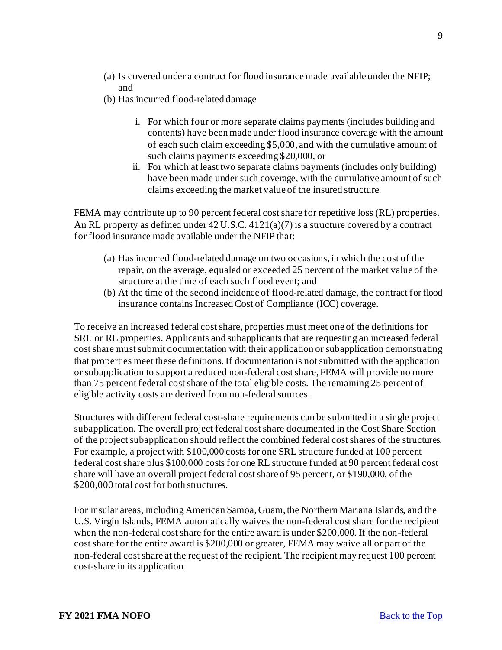- (a) Is covered under a contract for flood insurance made available under the NFIP; and
- (b) Has incurred flood-related damage
	- i. For which four or more separate claims payments (includes building and contents) have been made under flood insurance coverage with the amount of each such claim exceeding \$5,000, and with the cumulative amount of such claims payments exceeding \$20,000, or
	- ii. For which at least two separate claims payments (includes only building) have been made under such coverage, with the cumulative amount of such claims exceeding the market value of the insured structure.

FEMA may contribute up to 90 percent federal cost share for repetitive loss (RL) properties. An RL property as defined under 42 U.S.C. 4121(a)(7) is a structure covered by a contract for flood insurance made available under the NFIP that:

- (a) Has incurred flood-related damage on two occasions, in which the cost of the repair, on the average, equaled or exceeded 25 percent of the market value of the structure at the time of each such flood event; and
- (b) At the time of the second incidence of flood-related damage, the contract for flood insurance contains Increased Cost of Compliance (ICC) coverage.

To receive an increased federal cost share, properties must meet one of the definitions for SRL or RL properties. Applicants and subapplicants that are requesting an increased federal cost share must submit documentation with their application or subapplication demonstrating that properties meet these definitions. If documentation is not submitted with the application or subapplication to support a reduced non-federal cost share, FEMA will provide no more than 75 percent federal cost share of the total eligible costs. The remaining 25 percent of eligible activity costs are derived from non-federal sources.

Structures with different federal cost-share requirements can be submitted in a single project subapplication. The overall project federal cost share documented in the Cost Share Section of the project subapplication should reflect the combined federal cost shares of the structures. For example, a project with \$100,000 costs for one SRL structure funded at 100 percent federal cost share plus \$100,000 costs for one RL structure funded at 90 percent federal cost share will have an overall project federal cost share of 95 percent, or \$190,000, of the \$200,000 total cost for both structures.

For insular areas, including American Samoa, Guam, the Northern Mariana Islands, and the U.S. Virgin Islands, FEMA automatically waives the non-federal cost share for the recipient when the non-federal cost share for the entire award is under \$200,000. If the non-federal cost share for the entire award is \$200,000 or greater, FEMA may waive all or part of the non-federal cost share at the request of the recipient. The recipient may request 100 percent cost-share in its application.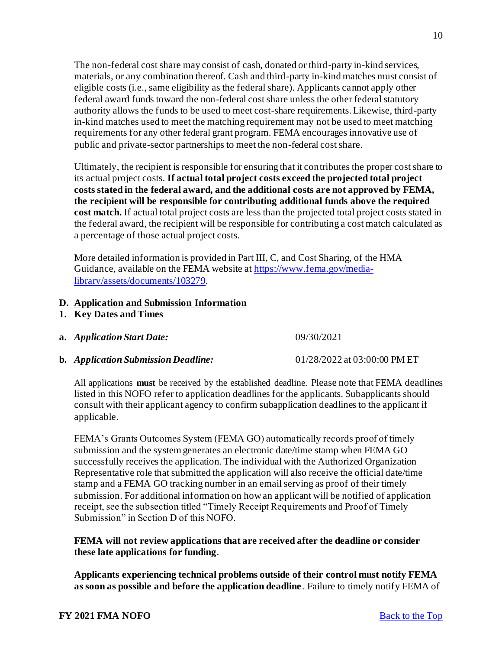The non-federal cost share may consist of cash, donated or third-party in-kind services, materials, or any combination thereof. Cash and third-party in-kind matches must consist of eligible costs (i.e., same eligibility as the federal share). Applicants cannot apply other federal award funds toward the non-federal cost share unless the other federal statutory authority allows the funds to be used to meet cost-share requirements. Likewise, third-party in-kind matches used to meet the matching requirement may not be used to meet matching requirements for any other federal grant program. FEMA encourages innovative use of public and private-sector partnerships to meet the non-federal cost share.

Ultimately, the recipient is responsible for ensuring that it contributes the proper cost share to its actual project costs. **If actual total project costs exceed the projected total project costs stated in the federal award, and the additional costs are not approved by FEMA, the recipient will be responsible for contributing additional funds above the required cost match.** If actual total project costs are less than the projected total project costs stated in the federal award, the recipient will be responsible for contributing a cost match calculated as a percentage of those actual project costs.

More detailed information is provided in Part III, C, and Cost Sharing, of the HMA [Guidance, available on the FEMA website at https://www.fema.gov/media](https://www.fema.gov/media-library/assets/documents/103279)library/assets/documents/103279.

#### <span id="page-9-0"></span>**D. Application and Submission Information**

- <span id="page-9-1"></span>**1. Key Dates and Times**
- **a.** *Application Start Date:* 09/30/2021
- **b.** *Application Submission Deadline:* 01/28/2022 at 03:00:00 PM ET

All applications **must** be received by the established deadline. Please note that FEMA deadlines listed in this NOFO refer to application deadlines for the applicants. Subapplicants should consult with their applicant agency to confirm subapplication deadlines to the applicant if applicable.

FEMA's Grants Outcomes System (FEMA GO) automatically records proof of timely submission and the system generates an electronic date/time stamp when FEMA GO successfully receives the application. The individual with the Authorized Organization Representative role that submitted the application will also receive the official date/time stamp and a FEMA GO tracking number in an email serving as proof of their timely submission. For additional information on how an applicant will be notified of application receipt, see the subsection titled "Timely Receipt Requirements and Proof of Timely Submission" in Section D of this NOFO.

## **FEMA will not review applications that are received after the deadline or consider these late applications for funding**.

**Applicants experiencing technical problems outside of their control must notify FEMA as soon as possible and before the application deadline**. Failure to timely notify FEMA of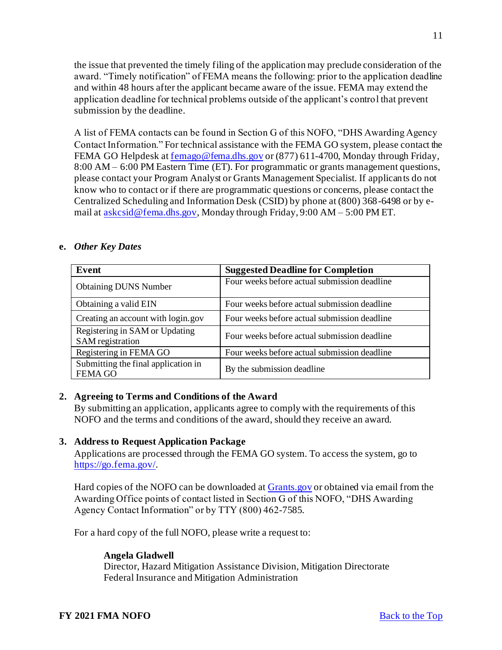the issue that prevented the timely filing of the application may preclude consideration of the award. "Timely notification" of FEMA means the following: prior to the application deadline and within 48 hours after the applicant became aware of the issue. FEMA may extend the application deadline for technical problems outside of the applicant's control that prevent submission by the deadline.

A list of FEMA contacts can be found in Section G of this NOFO, "DHS Awarding Agency Contact Information." For technical assistance with the FEMA GO system, please contact the FEMA GO Helpdesk at [femago@fema.dhs.gov](mailto:femago@fema.dhs.gov) or (877) 611-4700, Monday through Friday, 8:00 AM – 6:00 PM Eastern Time (ET). For programmatic or grants management questions, please contact your Program Analyst or Grants Management Specialist. If applicants do not know who to contact or if there are programmatic questions or concerns, please contact the Centralized Scheduling and Information Desk (CSID) by phone at (800) 368-6498 or by email at [askcsid@fema.dhs.gov](mailto:askcsid@fema.dhs.gov), Monday through Friday, 9:00 AM – 5:00 PM ET.

#### **e.** *Other Key Dates*

| Event                                                 | <b>Suggested Deadline for Completion</b>     |
|-------------------------------------------------------|----------------------------------------------|
| <b>Obtaining DUNS Number</b>                          | Four weeks before actual submission deadline |
| Obtaining a valid EIN                                 | Four weeks before actual submission deadline |
| Creating an account with login.gov                    | Four weeks before actual submission deadline |
| Registering in SAM or Updating<br>SAM registration    | Four weeks before actual submission deadline |
| Registering in FEMA GO                                | Four weeks before actual submission deadline |
| Submitting the final application in<br><b>FEMA GO</b> | By the submission deadline                   |

#### <span id="page-10-0"></span>**2. Agreeing to Terms and Conditions of the Award**

By submitting an application, applicants agree to comply with the requirements of this NOFO and the terms and conditions of the award, should they receive an award.

#### <span id="page-10-1"></span>**3. Address to Request Application Package**

Applications are processed through the FEMA GO system. To access the system, go to <https://go.fema.gov/>.

Hard copies of the NOFO can be downloaded at **Grants** gov or obtained via email from the Awarding Office points of contact listed in Section G of this NOFO, "DHS Awarding Agency Contact Information" or by TTY (800) 462-7585.

For a hard copy of the full NOFO, please write a request to:

#### **Angela Gladwell**

Director, Hazard Mitigation Assistance Division, Mitigation Directorate Federal Insurance and Mitigation Administration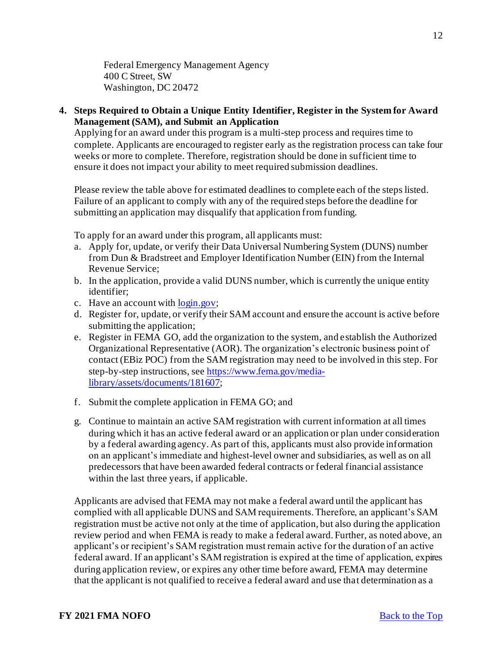Federal Emergency Management Agency 400 C Street, SW Washington, DC 20472

<span id="page-11-0"></span>**4. Steps Required to Obtain a Unique Entity Identifier, Register in the System for Award Management (SAM), and Submit an Application**

Applying for an award under this program is a multi-step process and requires time to complete. Applicants are encouraged to register early as the registration process can take four weeks or more to complete. Therefore, registration should be done in sufficient time to ensure it does not impact your ability to meet required submission deadlines.

Please review the table above for estimated deadlines to complete each of the steps listed. Failure of an applicant to comply with any of the required steps before the deadline for submitting an application may disqualify that application from funding.

To apply for an award under this program, all applicants must:

- a. Apply for, update, or verify their Data Universal Numbering System (DUNS) number from Dun & Bradstreet and Employer Identification Number (EIN) from the Internal Revenue Service;
- b. In the application, provide a valid DUNS number, which is currently the unique entity identifier;
- c. Have an account wit[h login.gov](https://www.login.gov/);
- d. Register for, update, or verify their SAM account and ensure the account is active before submitting the application;
- e. Register in FEMA GO, add the organization to the system, and establish the Authorized Organizational Representative (AOR). The organization's electronic business point of contact (EBiz POC) from the SAM registration may need to be involved in this step. For [step-by-step instructions, see https://www.fema.gov/media](https://www.fema.gov/media-library/assets/documents/181607)library/assets/documents/181607;
- f. Submit the complete application in FEMA GO; and
- g. Continue to maintain an active SAM registration with current information at all times during which it has an active federal award or an application or plan under consideration by a federal awarding agency. As part of this, applicants must also provide information on an applicant's immediate and highest-level owner and subsidiaries, as well as on all predecessors that have been awarded federal contracts or federal financial assistance within the last three years, if applicable.

Applicants are advised that FEMA may not make a federal award until the applicant has complied with all applicable DUNS and SAM requirements. Therefore, an applicant's SAM registration must be active not only at the time of application, but also during the application review period and when FEMA is ready to make a federal award. Further, as noted above, an applicant's or recipient's SAM registration must remain active for the duration of an active federal award. If an applicant's SAM registration is expired at the time of application, expires during application review, or expires any other time before award, FEMA may determine that the applicant is not qualified to receive a federal award and use that determination as a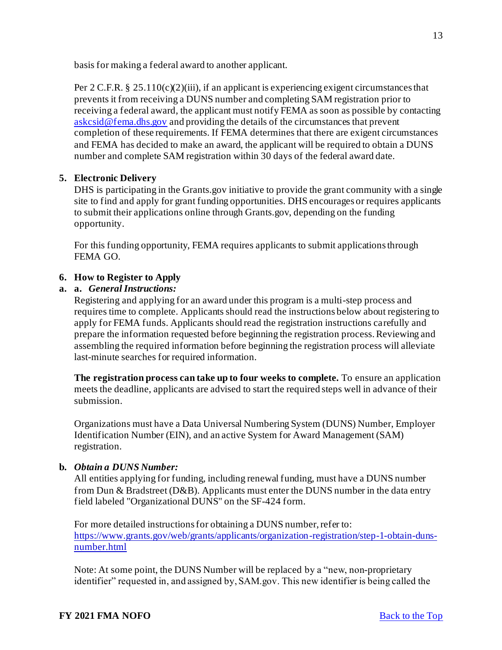basis for making a federal award to another applicant.

Per 2 C.F.R. § 25.110(c)(2)(iii), if an applicant is experiencing exigent circumstances that prevents it from receiving a DUNS number and completing SAM registration prior to receiving a federal award, the applicant must notify FEMA as soon as possible by contacting [askcsid@fema.dhs.gov](mailto:askcsid@fema.dhs.gov) and providing the details of the circumstances that prevent completion of these requirements. If FEMA determines that there are exigent circumstances and FEMA has decided to make an award, the applicant will be required to obtain a DUNS number and complete SAM registration within 30 days of the federal award date.

#### <span id="page-12-0"></span>**5. Electronic Delivery**

DHS is participating in the Grants.gov initiative to provide the grant community with a single site to find and apply for grant funding opportunities. DHS encourages or requires applicants to submit their applications online through Grants.gov, depending on the funding opportunity.

For this funding opportunity, FEMA requires applicants to submit applications through FEMA GO.

## <span id="page-12-1"></span>**6. How to Register to Apply**

#### **a. a.** *General Instructions:*

Registering and applying for an award under this program is a multi-step process and requires time to complete. Applicants should read the instructions below about registering to apply for FEMA funds. Applicants should read the registration instructions carefully and prepare the information requested before beginning the registration process. Reviewing and assembling the required information before beginning the registration process will alleviate last-minute searches for required information.

**The registration process can take up to four weeks to complete.** To ensure an application meets the deadline, applicants are advised to start the required steps well in advance of their submission.

Organizations must have a Data Universal Numbering System (DUNS) Number, Employer Identification Number (EIN), and an active System for Award Management (SAM) registration.

#### **b.** *Obtain a DUNS Number:*

All entities applying for funding, including renewal funding, must have a DUNS number from Dun & Bradstreet (D&B). Applicants must enter the DUNS number in the data entry field labeled "Organizational DUNS" on the SF-424 form.

For more detailed instructions for obtaining a DUNS number, refer to: [https://www.grants.gov/web/grants/applicants/organization-registration/step-1-obtain-duns](https://www.grants.gov/web/grants/applicants/organization-registration/step-1-obtain-duns-number.html)number.html

Note: At some point, the DUNS Number will be replaced by a "new, non-proprietary identifier" requested in, and assigned by, SAM.gov. This new identifier is being called the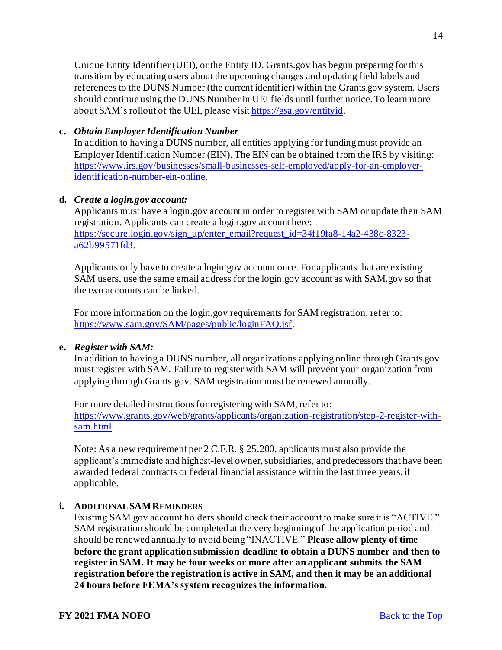Unique Entity Identifier (UEI), or the Entity ID. Grants.gov has begun preparing for this transition by educating users about the upcoming changes and updating field labels and references to the DUNS Number (the current identifier) within the Grants.gov system. Users should continue using the DUNS Number in UEI fields until further notice. To learn more about SAM's rollout of the UEI, please visi[t https://gsa.gov/entityid](https://gsa.gov/entityid).

# **c.** *Obtain Employer Identification Number*

In addition to having a DUNS number, all entities applying for funding must provide an Employer Identification Number (EIN). The EIN can be obtained from the IRS by visiting: [https://www.irs.gov/businesses/small-businesses-self-employed/apply-for-an-employer](https://www.irs.gov/businesses/small-businesses-self-employed/apply-for-an-employer-identification-number-ein-online)identification-number-ein-online.

## **d.** *Create a login.gov account:*

Applicants must have a login.gov account in order to register with SAM or update their SAM registration. Applicants can create a login.gov account here: [https://secure.login.gov/sign\\_up/enter\\_email?request\\_id=34f19fa8-14a2-438c-8323](https://secure.login.gov/sign_up/enter_email?request_id=34f19fa8-14a2-438c-8323-a62b99571fd3) a62b99571fd3.

Applicants only have to create a login.gov account once. For applicants that are existing SAM users, use the same email address for the login.gov account as with SAM.gov so that the two accounts can be linked.

For more information on the login.gov requirements for SAM registration, refer to: <https://www.sam.gov/SAM/pages/public/loginFAQ.jsf>.

#### **e.** *Register with SAM:*

In addition to having a DUNS number, all organizations applying online through Grants.gov must register with SAM. Failure to register with SAM will prevent your organization from applying through Grants.gov. SAM registration must be renewed annually.

For more detailed instructions for registering with SAM, refer to: [https://www.grants.gov/web/grants/applicants/organization-registration/step-2-register-with](https://www.grants.gov/web/grants/applicants/organization-registration/step-2-register-with-sam.html)sam.html.

Note: As a new requirement per 2 C.F.R. § 25.200, applicants must also provide the applicant's immediate and highest-level owner, subsidiaries, and predecessors that have been awarded federal contracts or federal financial assistance within the last three years, if applicable.

# **i. ADDITIONAL SAMREMINDERS**

Existing SAM.gov account holders should check their account to make sure it is "ACTIVE." SAM registration should be completed at the very beginning of the application period and should be renewed annually to avoid being "INACTIVE." **Please allow plenty of time before the grant application submission deadline to obtain a DUNS number and then to register in SAM. It may be four weeks or more after an applicant submits the SAM registration before the registration is active in SAM, and then it may be an additional 24 hours before FEMA's system recognizes the information.**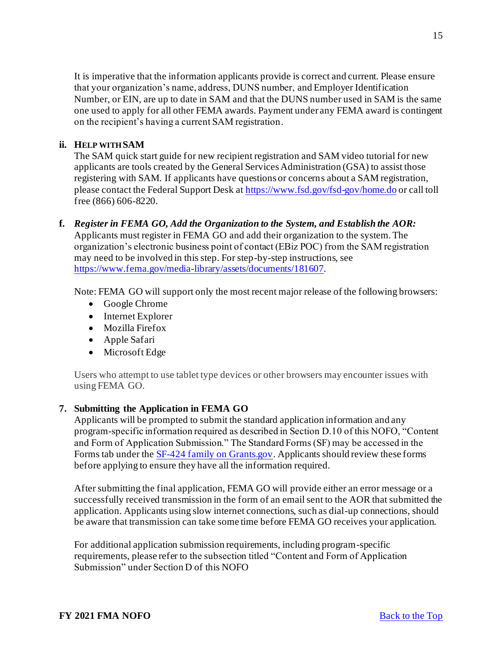It is imperative that the information applicants provide is correct and current. Please ensure that your organization's name, address, DUNS number, and Employer Identification Number, or EIN, are up to date in SAM and that the DUNS number used in SAM is the same one used to apply for all other FEMA awards. Payment under any FEMA award is contingent on the recipient's having a current SAM registration.

#### **ii. HELP WITH SAM**

The SAM quick start guide for new recipient registration and SAM video tutorial for new applicants are tools created by the General Services Administration (GSA) to assist those registering with SAM. If applicants have questions or concerns about a SAM registration, please contact the Federal Support Desk a[t https://www.fsd.gov/fsd-gov/home.do](https://www.fsd.gov/fsd-gov/home.do) or call toll free (866) 606-8220.

**f.** *Register in FEMA GO, Add the Organization to the System, and Establish the AOR:*  Applicants must register in FEMA GO and add their organization to the system. The organization's electronic business point of contact (EBiz POC) from the SAM registration may need to be involved in this step. For step-by-step instructions, see <https://www.fema.gov/media-library/assets/documents/181607>.

Note: FEMA GO will support only the most recent major release of the following browsers:

- Google Chrome
- Internet Explorer
- Mozilla Firefox
- Apple Safari
- Microsoft Edge

Users who attempt to use tablet type devices or other browsers may encounter issues with using FEMA GO.

# <span id="page-14-0"></span>**7. Submitting the Application in FEMA GO**

Applicants will be prompted to submit the standard application information and any program-specific information required as described in Section D.10 of this NOFO, "Content and Form of Application Submission." The Standard Forms (SF) may be accessed in the Forms tab under th[e SF-424 family on Grants.gov](https://www.grants.gov/forms/sf-424-family.html). Applicants should review these forms before applying to ensure they have all the information required.

After submitting the final application, FEMA GO will provide either an error message or a successfully received transmission in the form of an email sent to the AOR that submitted the application. Applicants using slow internet connections, such as dial-up connections, should be aware that transmission can take some time before FEMA GO receives your application.

For additional application submission requirements, including program-specific requirements, please refer to the subsection titled "Content and Form of Application Submission" under Section D of this NOFO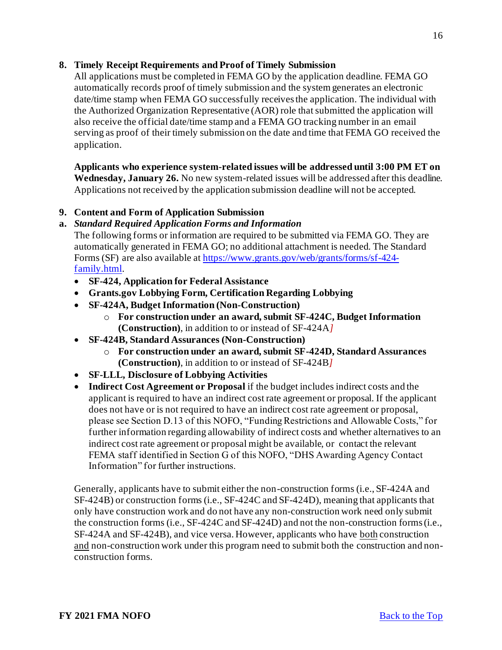# <span id="page-15-0"></span>**8. Timely Receipt Requirements and Proof of Timely Submission**

All applications must be completed in FEMA GO by the application deadline. FEMA GO automatically records proof of timely submission and the system generates an electronic date/time stamp when FEMA GO successfully receives the application. The individual with the Authorized Organization Representative (AOR) role that submitted the application will also receive the official date/time stamp and a FEMA GO tracking number in an email serving as proof of their timely submission on the date and time that FEMA GO received the application.

**Applicants who experience system-related issues will be addressed until 3:00 PM ET on Wednesday, January 26.** No new system-related issues will be addressed after this deadline. Applications not received by the application submission deadline will not be accepted.

## <span id="page-15-1"></span>**9. Content and Form of Application Submission**

## **a.** *Standard Required Application Forms and Information*

The following forms or information are required to be submitted via FEMA GO. They are automatically generated in FEMA GO; no additional attachment is needed. The Standard [Forms \(SF\) are also available at https://www.grants.gov/web/grants/forms/sf-424](https://www.grants.gov/web/grants/forms/sf-424-family.html) family.html.

- **SF-424, Application for Federal Assistance**
- **Grants.gov Lobbying Form, Certification Regarding Lobbying**
- **SF-424A, Budget Information (Non-Construction)**
	- o **For construction under an award, submit SF-424C, Budget Information (Construction)**, in addition to or instead of SF-424A*]*
- **SF-424B, Standard Assurances (Non-Construction)**
	- o **For construction under an award, submit SF-424D, Standard Assurances (Construction)**, in addition to or instead of SF-424B*]*
- **SF-LLL, Disclosure of Lobbying Activities**
- **Indirect Cost Agreement or Proposal** if the budget includes indirect costs and the applicant is required to have an indirect cost rate agreement or proposal. If the applicant does not have or is not required to have an indirect cost rate agreement or proposal, please see Section D.13 of this NOFO, "Funding Restrictions and Allowable Costs," for further information regarding allowability of indirect costs and whether alternatives to an indirect cost rate agreement or proposal might be available, or contact the relevant FEMA staff identified in Section G of this NOFO, "DHS Awarding Agency Contact Information" for further instructions.

Generally, applicants have to submit either the non-construction forms (i.e., SF-424A and SF-424B) or construction forms (i.e., SF-424C and SF-424D), meaning that applicants that only have construction work and do not have any non-construction work need only submit the construction forms (i.e., SF-424C and SF-424D) and not the non-construction forms (i.e., SF-424A and SF-424B), and vice versa. However, applicants who have both construction and non-construction work under this program need to submit both the construction and nonconstruction forms.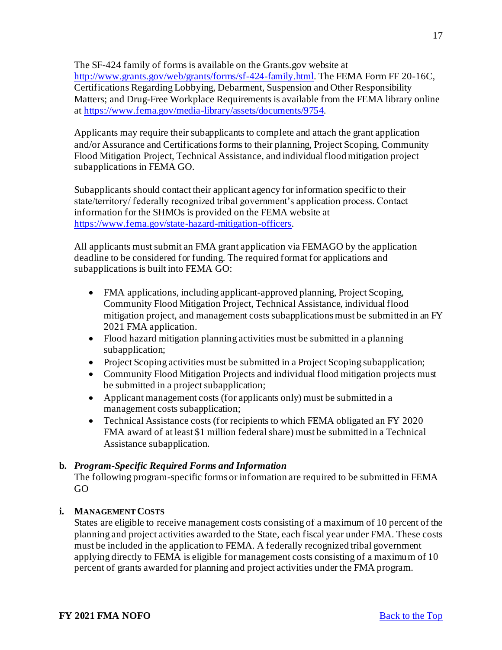The SF-424 family of forms is available on the Grants.gov website at <http://www.grants.gov/web/grants/forms/sf-424-family.html>. The FEMA Form FF 20-16C, Certifications Regarding Lobbying, Debarment, Suspension and Other Responsibility Matters; and Drug-Free Workplace Requirements is available from the FEMA library online a[t https://www.fema.gov/media-library/assets/documents/9754](https://www.fema.gov/media-library/assets/documents/9754).

Applicants may require their subapplicants to complete and attach the grant application and/or Assurance and Certifications forms to their planning, Project Scoping, Community Flood Mitigation Project, Technical Assistance, and individual flood mitigation project subapplications in FEMA GO.

Subapplicants should contact their applicant agency for information specific to their state/territory/ federally recognized tribal government's application process. Contact information for the SHMOs is provided on the FEMA website at <https://www.fema.gov/state-hazard-mitigation-officers>.

All applicants must submit an FMA grant application via FEMAGO by the application deadline to be considered for funding. The required format for applications and subapplications is built into FEMA GO:

- FMA applications, including applicant-approved planning, Project Scoping, Community Flood Mitigation Project, Technical Assistance, individual flood mitigation project, and management costs subapplications must be submitted in an FY 2021 FMA application.
- Flood hazard mitigation planning activities must be submitted in a planning subapplication;
- Project Scoping activities must be submitted in a Project Scoping subapplication;
- Community Flood Mitigation Projects and individual flood mitigation projects must be submitted in a project subapplication;
- Applicant management costs (for applicants only) must be submitted in a management costs subapplication;
- Technical Assistance costs (for recipients to which FEMA obligated an FY 2020 FMA award of at least \$1 million federal share) must be submitted in a Technical Assistance subapplication.

# **b.** *Program-Specific Required Forms and Information*

The following program-specific forms or information are required to be submitted in FEMA GO

# **i. MANAGEMENT COSTS**

[States](https://www.law.cornell.edu/definitions/index.php?width=840&height=800&iframe=true&def_id=e8ac89d3147c2817e8a875004f4e1481&term_occur=999&term_src=Title:44:Chapter:I:Subchapter:B:Part:79:79.8) are eligible to receive management costs consisting of a maximum of 10 percent of the planning and project activities awarded to th[e State](https://www.law.cornell.edu/definitions/index.php?width=840&height=800&iframe=true&def_id=e8ac89d3147c2817e8a875004f4e1481&term_occur=999&term_src=Title:44:Chapter:I:Subchapter:B:Part:79:79.8), each fiscal year under FMA. These costs must be included in the application to FEMA. A federally recognized tribal government applying directly to FEMA is eligible for management costs consisting of a maximum of 10 percent of grants awarded for planning and project activities under the FMA program.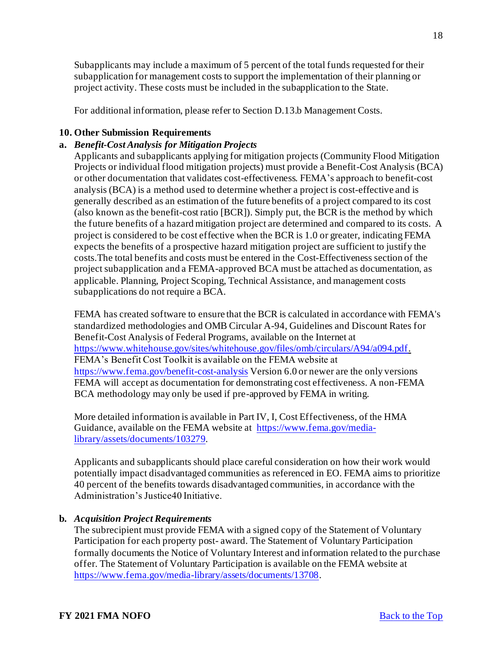[Subapplicants](https://www.law.cornell.edu/definitions/index.php?width=840&height=800&iframe=true&def_id=358ffe83f992d71cc956e13bec373e92&term_occur=999&term_src=Title:44:Chapter:I:Subchapter:B:Part:79:79.8) may include a maximum of 5 percent of the total funds requested for their subapplication for management costs to support the implementation of their planning or project activity. These costs must be included in the subapplication to th[e State](https://www.law.cornell.edu/definitions/index.php?width=840&height=800&iframe=true&def_id=e8ac89d3147c2817e8a875004f4e1481&term_occur=999&term_src=Title:44:Chapter:I:Subchapter:B:Part:79:79.8).

For additional information, please refer to Section D.13.b Management Costs.

## <span id="page-17-0"></span>**10. Other Submission Requirements**

#### **a.** *Benefit-Cost Analysis for Mitigation Projects*

Applicants and subapplicants applying for mitigation projects (Community Flood Mitigation Projects or individual flood mitigation projects) must provide a Benefit-Cost Analysis (BCA) or other documentation that validates cost-effectiveness. FEMA's approach to benefit-cost analysis (BCA) is a method used to determine whether a project is cost-effective and is generally described as an estimation of the future benefits of a project compared to its cost (also known as the benefit-cost ratio [BCR]). Simply put, the BCR is the method by which the future benefits of a hazard mitigation project are determined and compared to its costs. A project is considered to be cost effective when the BCR is 1.0 or greater, indicating FEMA expects the benefits of a prospective hazard mitigation project are sufficient to justify the costs.The total benefits and costs must be entered in the Cost-Effectiveness section of the project subapplication and a FEMA-approved BCA must be attached as documentation, as applicable. Planning, Project Scoping, Technical Assistance, and management costs subapplications do not require a BCA.

FEMA has created software to ensure that the BCR is calculated in accordance with FEMA's standardized methodologies and OMB Circular A-94, Guidelines and Discount Rates for Benefit-Cost Analysis of Federal Programs, available on the Internet at <https://www.whitehouse.gov/sites/whitehouse.gov/files/omb/circulars/A94/a094.pdf>. FEMA's Benefit Cost Toolkit is available on the FEMA website at <https://www.fema.gov/benefit-cost-analysis> Version 6.0 or newer are the only versions FEMA will accept as documentation for demonstrating cost effectiveness. A non-FEMA BCA methodology may only be used if pre-approved by FEMA in writing.

More detailed information is available in Part IV, I, Cost Effectiveness, of the HMA [Guidance, available on the FEMA website at https://www.fema.gov/media](https://www.fema.gov/media-library/assets/documents/103279)library/assets/documents/103279.

Applicants and subapplicants should place careful consideration on how their work would potentially impact disadvantaged communities as referenced in EO. FEMA aims to prioritize 40 percent of the benefits towards disadvantaged communities, in accordance with the Administration's Justice40 Initiative.

#### **b.** *Acquisition Project Requirements*

The subrecipient must provide FEMA with a signed copy of the Statement of Voluntary Participation for each property post- award. The Statement of Voluntary Participation formally documents the Notice of Voluntary Interest and information related to the purchase offer. The Statement of Voluntary Participation is available on the FEMA website at <https://www.fema.gov/media-library/assets/documents/13708>.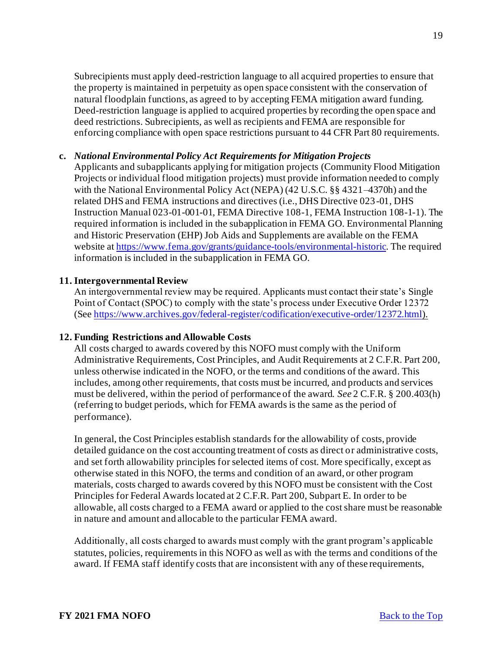Subrecipients must apply deed-restriction language to all acquired properties to ensure that the property is maintained in perpetuity as open space consistent with the conservation of natural floodplain functions, as agreed to by accepting FEMA mitigation award funding. Deed-restriction language is applied to acquired properties by recording the open space and deed restrictions. Subrecipients, as well as recipients and FEMA are responsible for enforcing compliance with open space restrictions pursuant to 44 CFR Part 80 requirements.

#### **c.** *National Environmental Policy Act Requirements for Mitigation Projects*

Applicants and subapplicants applying for mitigation projects (Community Flood Mitigation Projects or individual flood mitigation projects) must provide information needed to comply with the National Environmental Policy Act (NEPA) (42 U.S.C. §§ 4321–4370h) and the related DHS and FEMA instructions and directives (i.e., DHS Directive 023-01, DHS Instruction Manual 023-01-001-01, FEMA Directive 108-1, FEMA Instruction 108-1-1). The required information is included in the subapplication in FEMA GO. Environmental Planning and Historic Preservation (EHP) Job Aids and Supplements are available on the FEMA website a[t https://www.fema.gov/grants/guidance-tools/environmental-historic](https://www.fema.gov/grants/guidance-tools/environmental-historic). The required information is included in the subapplication in FEMA GO.

## <span id="page-18-0"></span>**11. Intergovernmental Review**

An intergovernmental review may be required. Applicants must contact their state's Single Point of Contact (SPOC) to comply with the state's process under Executive Order 12372 (See<https://www.archives.gov/federal-register/codification/executive-order/12372.html>).

#### <span id="page-18-1"></span>**12. Funding Restrictions and Allowable Costs**

All costs charged to awards covered by this NOFO must comply with the Uniform Administrative Requirements, Cost Principles, and Audit Requirements at 2 C.F.R. Part 200, unless otherwise indicated in the NOFO, or the terms and conditions of the award. This includes, among other requirements, that costs must be incurred, and products and services must be delivered, within the period of performance of the award. *See* 2 C.F.R. § 200.403(h) (referring to budget periods, which for FEMA awards is the same as the period of performance).

In general, the Cost Principles establish standards for the allowability of costs, provide detailed guidance on the cost accounting treatment of costs as direct or administrative costs, and set forth allowability principles for selected items of cost. More specifically, except as otherwise stated in this NOFO, the terms and condition of an award, or other program materials, costs charged to awards covered by this NOFO must be consistent with the Cost Principles for Federal Awards located at 2 C.F.R. Part 200, Subpart E. In order to be allowable, all costs charged to a FEMA award or applied to the cost share must be reasonable in nature and amount and allocable to the particular FEMA award.

Additionally, all costs charged to awards must comply with the grant program's applicable statutes, policies, requirements in this NOFO as well as with the terms and conditions of the award. If FEMA staff identify costs that are inconsistent with any of these requirements,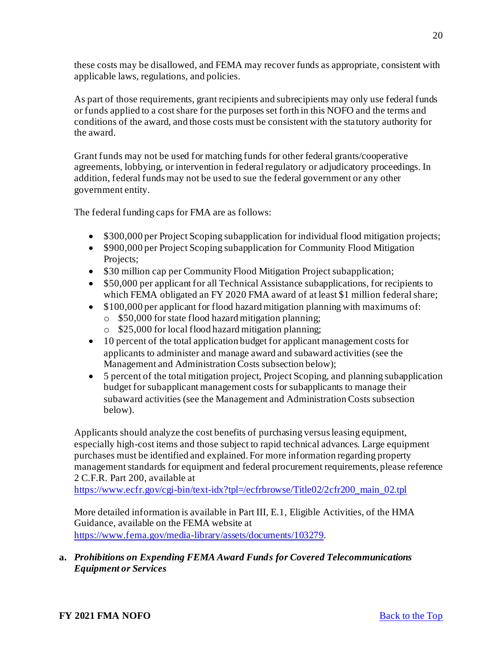these costs may be disallowed, and FEMA may recover funds as appropriate, consistent with applicable laws, regulations, and policies.

As part of those requirements, grant recipients and subrecipients may only use federal funds or funds applied to a cost share for the purposes set forth in this NOFO and the terms and conditions of the award, and those costs must be consistent with the statutory authority for the award.

Grant funds may not be used for matching funds for other federal grants/cooperative agreements, lobbying, or intervention in federal regulatory or adjudicatory proceedings. In addition, federal funds may not be used to sue the federal government or any other government entity.

The federal funding caps for FMA are as follows:

- \$300,000 per Project Scoping subapplication for individual flood mitigation projects;
- \$900,000 per Project Scoping subapplication for Community Flood Mitigation Projects;
- \$30 million cap per Community Flood Mitigation Project subapplication;
- \$50,000 per applicant for all Technical Assistance subapplications, for recipients to which FEMA obligated an FY 2020 FMA award of at least \$1 million federal share;
- \$100,000 per applicant for flood hazard mitigation planning with maximums of:
	- o \$50,000 for state flood hazard mitigation planning;
	- o \$25,000 for local flood hazard mitigation planning;
- 10 percent of the total application budget for applicant management costs for applicants to administer and manage award and subaward activities (see the Management and Administration Costs subsection below);
- 5 percent of the total mitigation project, Project Scoping, and planning subapplication budget for subapplicant management costs for subapplicants to manage their subaward activities (see the Management and Administration Costs subsection below).

Applicants should analyze the cost benefits of purchasing versus leasing equipment, especially high-cost items and those subject to rapid technical advances. Large equipment purchases must be identified and explained. For more information regarding property management standards for equipment and federal procurement requirements, please reference 2 C.F.R. Part 200, available at

[https://www.ecfr.gov/cgi-bin/text-idx?tpl=/ecfrbrowse/Title02/2cfr200\\_main\\_02.tpl](https://www.ecfr.gov/cgi-bin/text-idx?tpl=/ecfrbrowse/Title02/2cfr200_main_02.tpl)

More detailed information is available in Part III, E.1, Eligible Activities, of the HMA Guidance, available on the FEMA website at <https://www.fema.gov/media-library/assets/documents/103279>.

# **a.** *Prohibitions on Expending FEMA Award Funds for Covered Telecommunications Equipment or Services*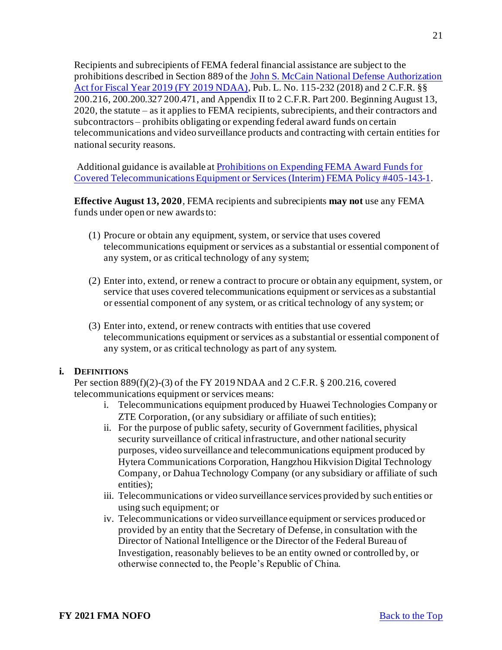Recipients and subrecipients of FEMA federal financial assistance are subject to the prohibitions described in Section 889 of the John S. McCain National Defense Authorization [Act for Fiscal Year 2019 \(FY 2019 NDAA\), Pub. L. No. 115-232 \(2018\) and 2 C.F.R. §§](https://www.congress.gov/bill/115th-congress/house-bill/5515/text?format=txt)  200.216, 200.200.327 200.471, and Appendix II to 2 C.F.R. Part 200. Beginning August 13, 2020, the statute – as it applies to FEMA recipients, subrecipients, and their contractors and subcontractors – prohibits obligating or expending federal award funds on certain telecommunications and video surveillance products and contracting with certain entities for national security reasons.

[Additional guidance is available at Prohibitions on Expending FEMA Award Funds for](https://www.fema.gov/sites/default/files/documents/fema_prohibitions-expending-fema-award-funds-covered-telecommunications-equipment-services.pdf)  Covered Telecommunications Equipment or Services (Interim) FEMA Policy #405-143-1.

**Effective August 13, 2020**, FEMA recipients and subrecipients **may not** use any FEMA funds under open or new awards to:

- (1) Procure or obtain any equipment, system, or service that uses covered telecommunications equipment or services as a substantial or essential component of any system, or as critical technology of any system;
- (2) Enter into, extend, or renew a contract to procure or obtain any equipment, system, or service that uses covered telecommunications equipment or services as a substantial or essential component of any system, or as critical technology of any system; or
- (3) Enter into, extend, or renew contracts with entities that use covered telecommunications equipment or services as a substantial or essential component of any system, or as critical technology as part of any system.

#### **i. DEFINITIONS**

Per section 889(f)(2)-(3) of the FY 2019 NDAA and 2 C.F.R. § 200.216, covered telecommunications equipment or services means:

- i. Telecommunications equipment produced by Huawei Technologies Company or ZTE Corporation, (or any subsidiary or affiliate of such entities);
- ii. For the purpose of public safety, security of Government facilities, physical security surveillance of critical infrastructure, and other national security purposes, video surveillance and telecommunications equipment produced by Hytera Communications Corporation, Hangzhou Hikvision Digital Technology Company, or Dahua Technology Company (or any subsidiary or affiliate of such entities);
- iii. Telecommunications or video surveillance services provided by such entities or using such equipment; or
- iv. Telecommunications or video surveillance equipment or services produced or provided by an entity that the Secretary of Defense, in consultation with the Director of National Intelligence or the Director of the Federal Bureau of Investigation, reasonably believes to be an entity owned or controlled by, or otherwise connected to, the People's Republic of China.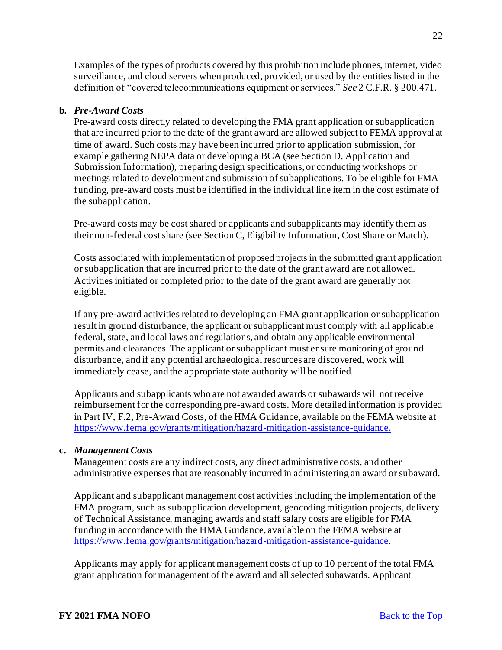Examples of the types of products covered by this prohibition include phones, internet, video surveillance, and cloud servers when produced, provided, or used by the entities listed in the definition of "covered telecommunications equipment or services." *See* 2 C.F.R. § 200.471.

#### **b.** *Pre-Award Costs*

Pre-award costs directly related to developing the FMA grant application or subapplication that are incurred prior to the date of the grant award are allowed subject to FEMA approval at time of award. Such costs may have been incurred prior to application submission, for example gathering NEPA data or developing a BCA (see Section D, Application and Submission Information), preparing design specifications, or conducting workshops or meetings related to development and submission of subapplications. To be eligible for FMA funding, pre-award costs must be identified in the individual line item in the cost estimate of the subapplication.

Pre-award costs may be cost shared or applicants and subapplicants may identify them as their non-federal cost share (see Section C, Eligibility Information, Cost Share or Match).

Costs associated with implementation of proposed projects in the submitted grant application or subapplication that are incurred prior to the date of the grant award are not allowed. Activities initiated or completed prior to the date of the grant award are generally not eligible.

If any pre-award activities related to developing an FMA grant application or subapplication result in ground disturbance, the applicant or subapplicant must comply with all applicable federal, state, and local laws and regulations, and obtain any applicable environmental permits and clearances. The applicant or subapplicant must ensure monitoring of ground disturbance, and if any potential archaeological resources are discovered, work will immediately cease, and the appropriate state authority will be notified.

Applicants and subapplicants who are not awarded awards or subawards will not receive reimbursement for the corresponding pre-award costs. More detailed information is provided in Part IV, F.2, Pre-Award Costs, of the HMA Guidance, available on the FEMA website at <https://www.fema.gov/grants/mitigation/hazard-mitigation-assistance-guidance>.

#### **c.** *Management Costs*

Management costs are any indirect costs, any direct administrative costs, and other administrative expenses that are reasonably incurred in administering an award or subaward.

Applicant and subapplicant management cost activities including the implementation of the FMA program, such as subapplication development, geocoding mitigation projects, delivery of Technical Assistance, managing awards and staff salary costs are eligible for FMA funding in accordance with the HMA Guidance, available on the FEMA website at <https://www.fema.gov/grants/mitigation/hazard-mitigation-assistance-guidance>.

Applicants may apply for applicant management costs of up to 10 percent of the total FMA grant application for management of the award and all selected subawards. Applicant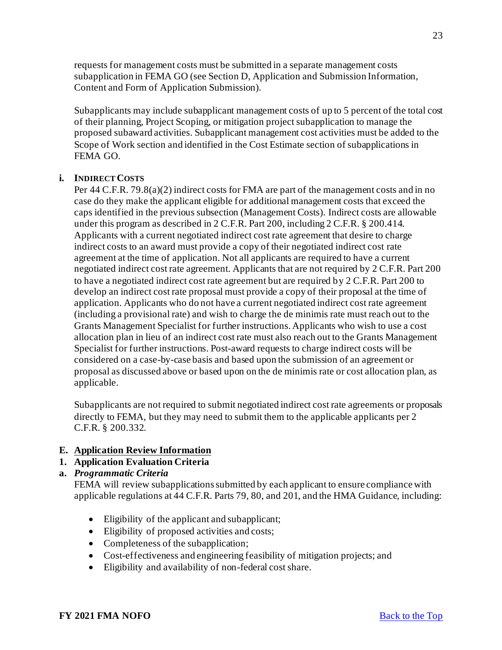requests for management costs must be submitted in a separate management costs subapplication in FEMA GO (see Section D, Application and Submission Information, Content and Form of Application Submission).

Subapplicants may include subapplicant management costs of up to 5 percent of the total cost of their planning, Project Scoping, or mitigation project subapplication to manage the proposed subaward activities. Subapplicant management cost activities must be added to the Scope of Work section and identified in the Cost Estimate section of subapplications in FEMA GO.

#### **i. INDIRECT COSTS**

Per 44 C.F.R. 79.8(a)(2) indirect costs for FMA are part of the management costs and in no case do they make the applicant eligible for additional management costs that exceed the caps identified in the previous subsection (Management Costs). Indirect costs are allowable under this program as described in 2 C.F.R. Part 200, including 2 C.F.R. § 200.414. Applicants with a current negotiated indirect cost rate agreement that desire to charge indirect costs to an award must provide a copy of their negotiated indirect cost rate agreement at the time of application. Not all applicants are required to have a current negotiated indirect cost rate agreement. Applicants that are not required by 2 C.F.R. Part 200 to have a negotiated indirect cost rate agreement but are required by 2 C.F.R. Part 200 to develop an indirect cost rate proposal must provide a copy of their proposal at the time of application. Applicants who do not have a current negotiated indirect cost rate agreement (including a provisional rate) and wish to charge the de minimis rate must reach out to the Grants Management Specialist for further instructions. Applicants who wish to use a cost allocation plan in lieu of an indirect cost rate must also reach out to the Grants Management Specialist for further instructions. Post-award requests to charge indirect costs will be considered on a case-by-case basis and based upon the submission of an agreement or proposal as discussed above or based upon on the de minimis rate or cost allocation plan, as applicable.

Subapplicants are not required to submit negotiated indirect cost rate agreements or proposals directly to FEMA, but they may need to submit them to the applicable applicants per 2 C.F.R. § 200.332.

#### <span id="page-22-0"></span>**E. Application Review Information**

#### <span id="page-22-1"></span>**1. Application Evaluation Criteria**

#### **a.** *Programmatic Criteria*

FEMA will review subapplications submitted by each applicant to ensure compliance with applicable regulations at 44 C.F.R. Parts 79, 80, and 201, and the HMA Guidance, including:

- Eligibility of the applicant and subapplicant;
- Eligibility of proposed activities and costs;
- Completeness of the subapplication;
- Cost-effectiveness and engineering feasibility of mitigation projects; and
- Eligibility and availability of non-federal cost share.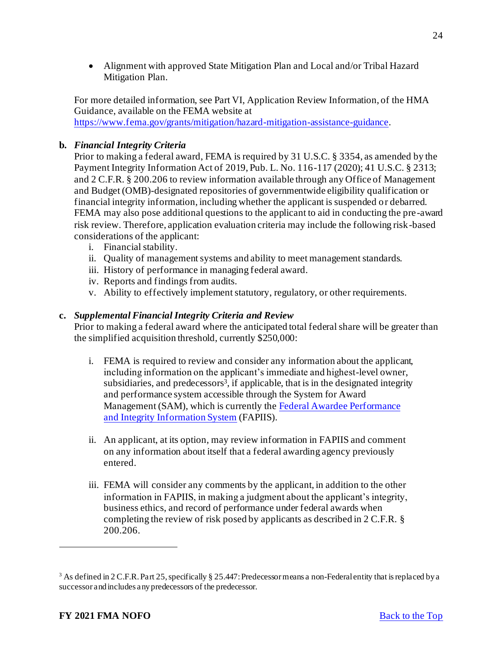• Alignment with approved State Mitigation Plan and Local and/or Tribal Hazard Mitigation Plan.

For more detailed information, see Part VI, Application Review Information, of the HMA Guidance, available on the FEMA website at <https://www.fema.gov/grants/mitigation/hazard-mitigation-assistance-guidance>.

# **b.** *Financial Integrity Criteria*

Prior to making a federal award, FEMA is required by 31 U.S.C. § 3354, as amended by the Payment Integrity Information Act of 2019, Pub. L. No. 116-117 (2020); 41 U.S.C. § 2313; and 2 C.F.R. § 200.206 to review information available through any Office of Management and Budget (OMB)-designated repositories of governmentwide eligibility qualification or financial integrity information, including whether the applicant is suspended or debarred. FEMA may also pose additional questions to the applicant to aid in conducting the pre-award risk review. Therefore, application evaluation criteria may include the following risk-based considerations of the applicant:

- i. Financial stability.
- ii. Quality of management systems and ability to meet management standards.
- iii. History of performance in managing federal award.
- iv. Reports and findings from audits.
- v. Ability to effectively implement statutory, regulatory, or other requirements.

# **c.** *Supplemental Financial Integrity Criteria and Review*

Prior to making a federal award where the anticipated total federal share will be greater than the simplified acquisition threshold, currently \$250,000:

- i. FEMA is required to review and consider any information about the applicant, including information on the applicant's immediate and highest-level owner, subsidiaries, and predecessors<sup>3</sup>, if applicable, that is in the designated integrity and performance system accessible through the System for Award [Management \(SAM\), which is currently the Federal Awardee Performance](https://www.fapiis.gov/fapiis/#/home) and Integrity Information System (FAPIIS).
- ii. An applicant, at its option, may review information in FAPIIS and comment on any information about itself that a federal awarding agency previously entered.
- iii. FEMA will consider any comments by the applicant, in addition to the other information in FAPIIS, in making a judgment about the applicant's integrity, business ethics, and record of performance under federal awards when completing the review of risk posed by applicants as described in 2 C.F.R. § 200.206.

<sup>&</sup>lt;sup>3</sup> As defined in 2 C.F.R. Part 25, specifically § 25.447: Predecessor means a non-Federal entity that is replaced by a successor and includes any predecessors of the predecessor.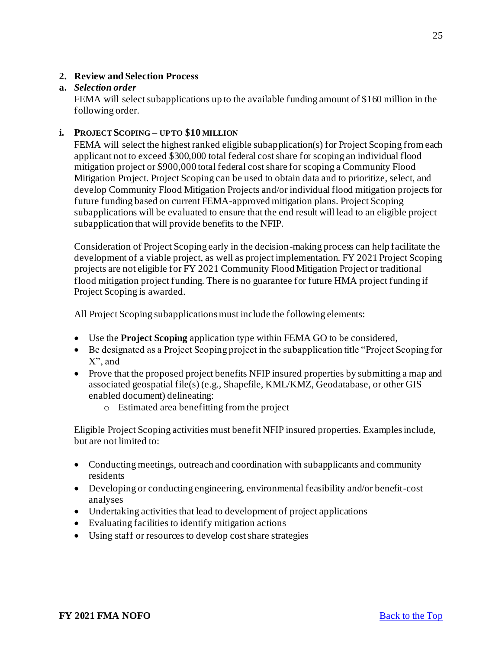# <span id="page-24-0"></span>**2. Review and Selection Process**

#### **a.** *Selection order*

FEMA will select subapplications up to the available funding amount of \$160 million in the following order.

#### **i. PROJECT SCOPING – UP TO \$10 MILLION**

FEMA will select the highest ranked eligible subapplication(s) for Project Scoping from each applicant not to exceed \$300,000 total federal cost share for scoping an individual flood mitigation project or \$900,000 total federal cost share for scoping a Community Flood Mitigation Project. Project Scoping can be used to obtain data and to prioritize, select, and develop Community Flood Mitigation Projects and/or individual flood mitigation projects for future funding based on current FEMA-approved mitigation plans. Project Scoping subapplications will be evaluated to ensure that the end result will lead to an eligible project subapplication that will provide benefits to the NFIP.

Consideration of Project Scoping early in the decision-making process can help facilitate the development of a viable project, as well as project implementation. FY 2021 Project Scoping projects are not eligible for FY 2021 Community Flood Mitigation Project or traditional flood mitigation project funding. There is no guarantee for future HMA project funding if Project Scoping is awarded.

All Project Scoping subapplications must include the following elements:

- Use the **Project Scoping** application type within FEMA GO to be considered,
- Be designated as a Project Scoping project in the subapplication title "Project Scoping for X", and
- Prove that the proposed project benefits NFIP insured properties by submitting a map and associated geospatial file(s) (e.g., Shapefile, KML/KMZ, Geodatabase, or other GIS enabled document) delineating:
	- o Estimated area benefitting from the project

Eligible Project Scoping activities must benefit NFIP insured properties. Examples include, but are not limited to:

- Conducting meetings, outreach and coordination with subapplicants and community residents
- Developing or conducting engineering, environmental feasibility and/or benefit-cost analyses
- Undertaking activities that lead to development of project applications
- Evaluating facilities to identify mitigation actions
- Using staff or resources to develop cost share strategies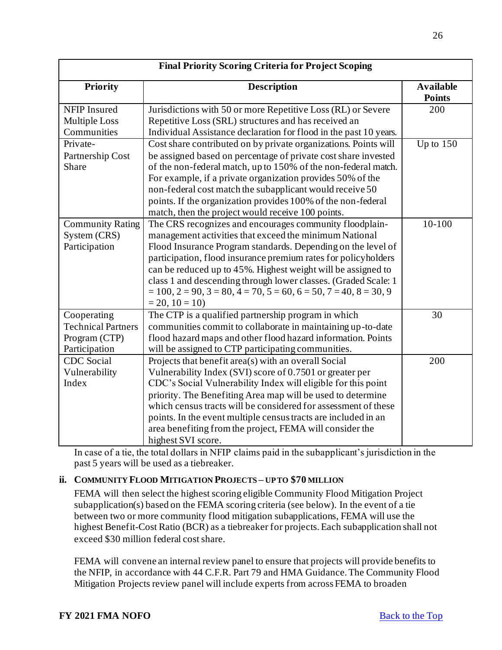| <b>Final Priority Scoring Criteria for Project Scoping</b> |                                                                                          |                                   |  |
|------------------------------------------------------------|------------------------------------------------------------------------------------------|-----------------------------------|--|
| <b>Priority</b>                                            | <b>Description</b>                                                                       | <b>Available</b><br><b>Points</b> |  |
| NFIP Insured                                               | Jurisdictions with 50 or more Repetitive Loss (RL) or Severe                             | 200                               |  |
| <b>Multiple Loss</b>                                       | Repetitive Loss (SRL) structures and has received an                                     |                                   |  |
| Communities                                                | Individual Assistance declaration for flood in the past 10 years.                        |                                   |  |
| Private-                                                   | Cost share contributed on by private organizations. Points will                          | Up to $150$                       |  |
| Partnership Cost                                           | be assigned based on percentage of private cost share invested                           |                                   |  |
| Share                                                      | of the non-federal match, up to 150% of the non-federal match.                           |                                   |  |
|                                                            | For example, if a private organization provides 50% of the                               |                                   |  |
|                                                            | non-federal cost match the subapplicant would receive 50                                 |                                   |  |
|                                                            | points. If the organization provides 100% of the non-federal                             |                                   |  |
|                                                            | match, then the project would receive 100 points.                                        |                                   |  |
| <b>Community Rating</b>                                    | The CRS recognizes and encourages community floodplain-                                  | $10 - 100$                        |  |
| System (CRS)                                               | management activities that exceed the minimum National                                   |                                   |  |
| Participation                                              | Flood Insurance Program standards. Depending on the level of                             |                                   |  |
|                                                            | participation, flood insurance premium rates for policyholders                           |                                   |  |
|                                                            | can be reduced up to 45%. Highest weight will be assigned to                             |                                   |  |
|                                                            | class 1 and descending through lower classes. (Graded Scale: 1                           |                                   |  |
|                                                            | $= 100$ , $2 = 90$ , $3 = 80$ , $4 = 70$ , $5 = 60$ , $6 = 50$ , $7 = 40$ , $8 = 30$ , 9 |                                   |  |
|                                                            | $= 20, 10 = 10$                                                                          |                                   |  |
| Cooperating                                                | The CTP is a qualified partnership program in which                                      | 30                                |  |
| <b>Technical Partners</b>                                  | communities commit to collaborate in maintaining up-to-date                              |                                   |  |
| Program (CTP)                                              | flood hazard maps and other flood hazard information. Points                             |                                   |  |
| Participation                                              | will be assigned to CTP participating communities.                                       |                                   |  |
| <b>CDC</b> Social                                          | Projects that benefit area(s) with an overall Social                                     | 200                               |  |
| Vulnerability                                              | Vulnerability Index (SVI) score of 0.7501 or greater per                                 |                                   |  |
| Index                                                      | CDC's Social Vulnerability Index will eligible for this point                            |                                   |  |
|                                                            | priority. The Benefiting Area map will be used to determine                              |                                   |  |
|                                                            | which census tracts will be considered for assessment of these                           |                                   |  |
|                                                            | points. In the event multiple census tracts are included in an                           |                                   |  |
|                                                            | area benefiting from the project, FEMA will consider the                                 |                                   |  |
|                                                            | highest SVI score.                                                                       |                                   |  |

In case of a tie, the total dollars in NFIP claims paid in the subapplicant's jurisdiction in the past 5 years will be used as a tiebreaker.

# **ii. COMMUNITY FLOOD MITIGATION PROJECTS – UP TO \$70 MILLION**

FEMA will then select the highest scoring eligible Community Flood Mitigation Project subapplication(s) based on the FEMA scoring criteria (see below). In the event of a tie between two or more community flood mitigation subapplications, FEMA will use the highest Benefit-Cost Ratio (BCR) as a tiebreaker for projects. Each subapplication shall not exceed \$30 million federal cost share.

FEMA will convene an internal review panel to ensure that projects will provide benefits to the NFIP, in accordance with 44 C.F.R. Part 79 and HMA Guidance. The Community Flood Mitigation Projects review panel will include experts from across FEMA to broaden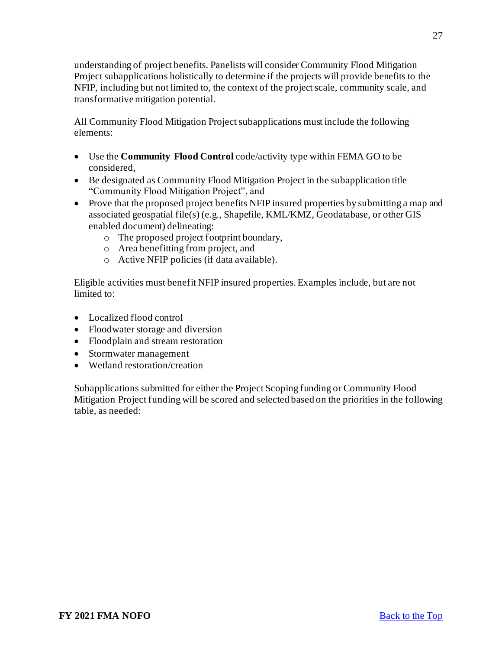understanding of project benefits. Panelists will consider Community Flood Mitigation Project subapplications holistically to determine if the projects will provide benefits to the NFIP, including but not limited to, the context of the project scale, community scale, and transformative mitigation potential.

All Community Flood Mitigation Project subapplications must include the following elements:

- Use the **Community Flood Control** code/activity type within FEMA GO to be considered,
- Be designated as Community Flood Mitigation Project in the subapplication title "Community Flood Mitigation Project", and
- Prove that the proposed project benefits NFIP insured properties by submitting a map and associated geospatial file(s) (e.g., Shapefile, KML/KMZ, Geodatabase, or other GIS enabled document) delineating:
	- o The proposed project footprint boundary,
	- o Area benefitting from project, and
	- o Active NFIP policies (if data available).

Eligible activities must benefit NFIP insured properties. Examples include, but are not limited to:

- Localized flood control
- Floodwater storage and diversion
- Floodplain and stream restoration
- Stormwater management
- Wetland restoration/creation

Subapplications submitted for either the Project Scoping funding or Community Flood Mitigation Project funding will be scored and selected based on the priorities in the following table, as needed: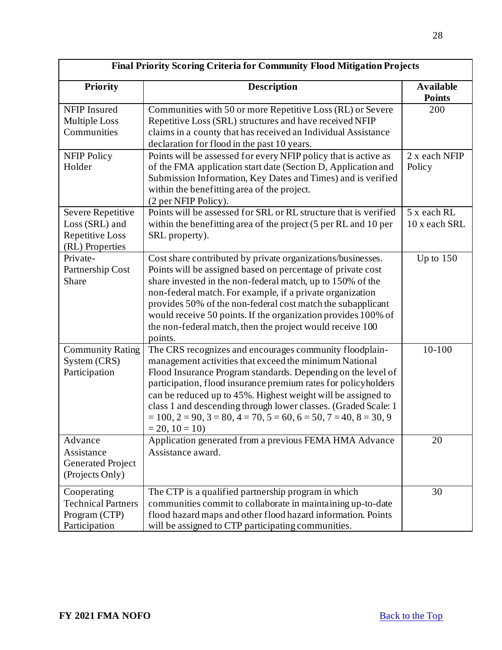| <b>Final Priority Scoring Criteria for Community Flood Mitigation Projects</b>                                                                                                                                                                                                                          |                                                                                                                                                                                                                                                                                                                                                                                                                                                                                                      |                                   |  |
|---------------------------------------------------------------------------------------------------------------------------------------------------------------------------------------------------------------------------------------------------------------------------------------------------------|------------------------------------------------------------------------------------------------------------------------------------------------------------------------------------------------------------------------------------------------------------------------------------------------------------------------------------------------------------------------------------------------------------------------------------------------------------------------------------------------------|-----------------------------------|--|
| <b>Priority</b>                                                                                                                                                                                                                                                                                         | <b>Description</b>                                                                                                                                                                                                                                                                                                                                                                                                                                                                                   | <b>Available</b><br><b>Points</b> |  |
| <b>NFIP</b> Insured<br><b>Multiple Loss</b><br>Communities                                                                                                                                                                                                                                              | Communities with 50 or more Repetitive Loss (RL) or Severe<br>Repetitive Loss (SRL) structures and have received NFIP<br>claims in a county that has received an Individual Assistance<br>declaration for flood in the past 10 years.                                                                                                                                                                                                                                                                | 200                               |  |
| Points will be assessed for every NFIP policy that is active as<br><b>NFIP Policy</b><br>of the FMA application start date (Section D, Application and<br>Holder<br>Submission Information, Key Dates and Times) and is verified<br>within the benefitting area of the project.<br>(2 per NFIP Policy). |                                                                                                                                                                                                                                                                                                                                                                                                                                                                                                      | 2 x each NFIP<br>Policy           |  |
| Points will be assessed for SRL or RL structure that is verified<br>Severe Repetitive<br>within the benefitting area of the project (5 per RL and 10 per<br>Loss (SRL) and<br>Repetitive Loss<br>SRL property).<br>(RL) Properties                                                                      |                                                                                                                                                                                                                                                                                                                                                                                                                                                                                                      | 5 x each RL<br>10 x each SRL      |  |
| Private-<br>Partnership Cost<br>Share                                                                                                                                                                                                                                                                   | Cost share contributed by private organizations/businesses.<br>Points will be assigned based on percentage of private cost<br>share invested in the non-federal match, up to 150% of the<br>non-federal match. For example, if a private organization<br>provides 50% of the non-federal cost match the subapplicant<br>would receive 50 points. If the organization provides 100% of<br>the non-federal match, then the project would receive 100<br>points.                                        | Up to $150$                       |  |
| <b>Community Rating</b><br>System (CRS)<br>Participation                                                                                                                                                                                                                                                | The CRS recognizes and encourages community floodplain-<br>management activities that exceed the minimum National<br>Flood Insurance Program standards. Depending on the level of<br>participation, flood insurance premium rates for policyholders<br>can be reduced up to 45%. Highest weight will be assigned to<br>class 1 and descending through lower classes. (Graded Scale: 1<br>$= 100$ , $2 = 90$ , $3 = 80$ , $4 = 70$ , $5 = 60$ , $6 = 50$ , $7 = 40$ , $8 = 30$ , 9<br>$= 20, 10 = 10$ | 10-100                            |  |
| Advance<br>Assistance<br><b>Generated Project</b><br>(Projects Only)                                                                                                                                                                                                                                    | Application generated from a previous FEMA HMA Advance<br>Assistance award.                                                                                                                                                                                                                                                                                                                                                                                                                          | 20                                |  |
| Cooperating<br><b>Technical Partners</b><br>Program (CTP)<br>Participation                                                                                                                                                                                                                              | The CTP is a qualified partnership program in which<br>communities commit to collaborate in maintaining up-to-date<br>flood hazard maps and other flood hazard information. Points<br>will be assigned to CTP participating communities.                                                                                                                                                                                                                                                             | 30                                |  |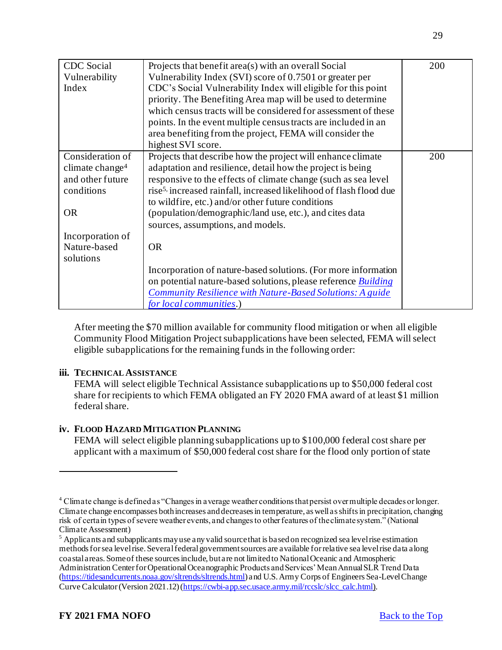| <b>CDC</b> Social<br>Vulnerability<br>Index     | Projects that benefit area(s) with an overall Social<br>Vulnerability Index (SVI) score of 0.7501 or greater per<br>CDC's Social Vulnerability Index will eligible for this point<br>priority. The Benefiting Area map will be used to determine<br>which census tracts will be considered for assessment of these<br>points. In the event multiple census tracts are included in an<br>area benefiting from the project, FEMA will consider the<br>highest SVI score. | 200 |
|-------------------------------------------------|------------------------------------------------------------------------------------------------------------------------------------------------------------------------------------------------------------------------------------------------------------------------------------------------------------------------------------------------------------------------------------------------------------------------------------------------------------------------|-----|
| Consideration of<br>climate change <sup>4</sup> | Projects that describe how the project will enhance climate<br>adaptation and resilience, detail how the project is being                                                                                                                                                                                                                                                                                                                                              | 200 |
| and other future<br>conditions                  | responsive to the effects of climate change (such as sea level)<br>rise <sup>5,</sup> increased rainfall, increased likelihood of flash flood due<br>to wildfire, etc.) and/or other future conditions                                                                                                                                                                                                                                                                 |     |
| <b>OR</b>                                       | (population/demographic/land use, etc.), and cites data<br>sources, assumptions, and models.                                                                                                                                                                                                                                                                                                                                                                           |     |
| Incorporation of                                |                                                                                                                                                                                                                                                                                                                                                                                                                                                                        |     |
| Nature-based<br>solutions                       | <b>OR</b>                                                                                                                                                                                                                                                                                                                                                                                                                                                              |     |
|                                                 | Incorporation of nature-based solutions. (For more information                                                                                                                                                                                                                                                                                                                                                                                                         |     |
|                                                 | on potential nature-based solutions, please reference <b>Building</b>                                                                                                                                                                                                                                                                                                                                                                                                  |     |
|                                                 | Community Resilience with Nature-Based Solutions: A guide<br>for local communities.)                                                                                                                                                                                                                                                                                                                                                                                   |     |

After meeting the \$70 million available for community flood mitigation or when all eligible Community Flood Mitigation Project subapplications have been selected, FEMA will select eligible subapplications for the remaining funds in the following order:

#### **iii. TECHNICAL ASSISTANCE**

FEMA will select eligible Technical Assistance subapplications up to \$50,000 federal cost share for recipients to which FEMA obligated an FY 2020 FMA award of at least \$1 million federal share.

# **iv. FLOOD HAZARD MITIGATION PLANNING**

FEMA will select eligible planning subapplications up to \$100,000 federal cost share per applicant with a maximum of \$50,000 federal cost share for the flood only portion of state

<sup>4</sup> Climate change is defined as "Changes in average weather conditions that persist over multiple decades or longer. Climate change encompasses both increases and decreases in temperature, as well as shifts in precipitation, changing risk of certain types of severe weather events, and changes to other features of the climate system." (National Climate Assessment)

<sup>&</sup>lt;sup>5</sup> Applicants and subapplicants may use any valid source that is based on recognized sea level rise estimation methods for sea level rise. Several federal government sources are available for relative sea level rise data along coastal areas. Some of these sources include, but are not limited to National Oceanic and Atmospheric Administration Center for Operational Oceanographic Products and Services' Mean Annual SLR Trend Data [\(https://tidesandcurrents.noaa.gov/sltrends/sltrends.html](https://urldefense.us/v3/__https:/urldefense.com/v3/__https:/tidesandcurrents.noaa.gov/sltrends/sltrends.html__;!!ETWISUBM!ghxXNphUf4dLtxJNvs8vsCJh6md9bHUDjiBbhYo7EiP30fy93Z6jzrLcAp4bRCLI$__;!!BClRuOV5cvtbuNI!WiHMLEWNHp0dtZ1qLMd-7Xi-_FCVOu_Kc6cIG2YOLKFyyfnUqQOtYgAUJU-LxKXqSMOoe59S1UrKZtud$)) and U.S. Army Corps of Engineers Sea-Level Change Curve Calculator (Version 2021.12) [\(https://cwbi-app.sec.usace.army.mil/rccslc/slcc\\_calc.html](https://cwbi-app.sec.usace.army.mil/rccslc/slcc_calc.html)).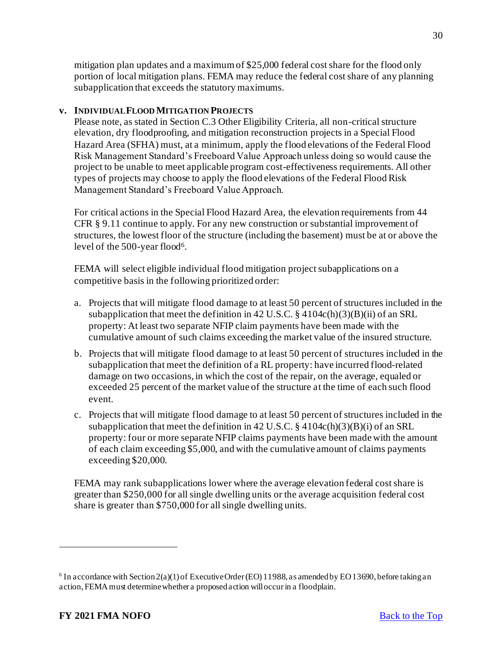mitigation plan updates and a maximum of \$25,000 federal cost share for the flood only portion of local mitigation plans. FEMA may reduce the federal cost share of any planning subapplication that exceeds the statutory maximums.

## **v. INDIVIDUAL FLOOD MITIGATION PROJECTS**

Please note, as stated in Section C.3 Other Eligibility Criteria, all non-critical structure elevation, dry floodproofing, and mitigation reconstruction projects in a Special Flood Hazard Area (SFHA) must, at a minimum, apply the flood elevations of the Federal Flood Risk Management Standard's Freeboard Value Approach unless doing so would cause the project to be unable to meet applicable program cost-effectiveness requirements. All other types of projects may choose to apply the flood elevations of the Federal Flood Risk Management Standard's Freeboard Value Approach.

For critical actions in the Special Flood Hazard Area, the elevation requirements from 44 CFR § 9.11 continue to apply. For any new construction or substantial improvement of structures, the lowest floor of the structure (including the basement) must be at or above the level of the 500-year flood<sup>6</sup>.

FEMA will select eligible individual flood mitigation project subapplications on a competitive basis in the following prioritized order:

- a. Projects that will mitigate flood damage to at least 50 percent of structures included in the subapplication that meet the definition in 42 U.S.C.  $\S$  4104c(h)(3)(B)(ii) of an SRL property: At least two separate NFIP claim payments have been made with the cumulative amount of such claims exceeding the market value of the insured structure.
- b. Projects that will mitigate flood damage to at least 50 percent of structures included in the subapplication that meet the definition of a RL property: have incurred flood-related damage on two occasions, in which the cost of the repair, on the average, equaled or exceeded 25 percent of the market value of the structure at the time of each such flood event.
- c. Projects that will mitigate flood damage to at least 50 percent of structures included in the subapplication that meet the definition in 42 U.S.C.  $\S$  4104c(h)(3)(B)(i) of an SRL property: four or more separate NFIP claims payments have been made with the amount of each claim exceeding \$5,000, and with the cumulative amount of claims payments exceeding \$20,000.

FEMA may rank subapplications lower where the average elevation federal cost share is greater than \$250,000 for all single dwelling units or the average acquisition federal cost share is greater than \$750,000 for all single dwelling units.

<sup>&</sup>lt;sup>6</sup> In accordance with Section 2(a)(1) of Executive Order (EO) 11988, as amended by EO 13690, before taking an action, FEMA must determine whether a proposed action will occur in a floodplain.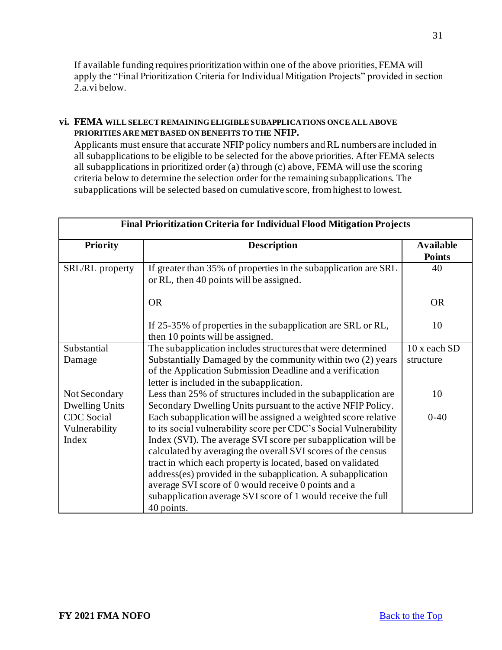If available funding requires prioritization within one of the above priorities, FEMA will apply the "Final Prioritization Criteria for Individual Mitigation Projects" provided in section 2.a.vi below.

#### **vi. FEMA WILL SELECT REMAINING ELIGIBLE SUBAPPLICATIONS ONCE ALL ABOVE PRIORITIES ARE MET BASED ON BENEFITS TO THE NFIP.**

Applicants must ensure that accurate NFIP policy numbers and RL numbers are included in all subapplications to be eligible to be selected for the above priorities. After FEMA selects all subapplications in prioritized order (a) through (c) above, FEMA will use the scoring criteria below to determine the selection order for the remaining subapplications. The subapplications will be selected based on cumulative score, from highest to lowest.

| <b>Final Prioritization Criteria for Individual Flood Mitigation Projects</b> |                                                                                                                                                                                                                                                                                                                                                                                                                                                                                                                                         |                                   |  |
|-------------------------------------------------------------------------------|-----------------------------------------------------------------------------------------------------------------------------------------------------------------------------------------------------------------------------------------------------------------------------------------------------------------------------------------------------------------------------------------------------------------------------------------------------------------------------------------------------------------------------------------|-----------------------------------|--|
| <b>Priority</b>                                                               | <b>Description</b>                                                                                                                                                                                                                                                                                                                                                                                                                                                                                                                      | <b>Available</b><br><b>Points</b> |  |
| SRL/RL property                                                               | If greater than 35% of properties in the subapplication are SRL<br>or RL, then 40 points will be assigned.                                                                                                                                                                                                                                                                                                                                                                                                                              | 40                                |  |
|                                                                               | <b>OR</b>                                                                                                                                                                                                                                                                                                                                                                                                                                                                                                                               | <b>OR</b>                         |  |
|                                                                               | If 25-35% of properties in the subapplication are SRL or RL,<br>then 10 points will be assigned.                                                                                                                                                                                                                                                                                                                                                                                                                                        | 10                                |  |
| Substantial                                                                   | The subapplication includes structures that were determined                                                                                                                                                                                                                                                                                                                                                                                                                                                                             | 10 x each SD                      |  |
| Damage                                                                        | Substantially Damaged by the community within two (2) years<br>of the Application Submission Deadline and a verification                                                                                                                                                                                                                                                                                                                                                                                                                | structure                         |  |
|                                                                               | letter is included in the subapplication.                                                                                                                                                                                                                                                                                                                                                                                                                                                                                               |                                   |  |
| Not Secondary<br><b>Dwelling Units</b>                                        | Less than 25% of structures included in the subapplication are<br>Secondary Dwelling Units pursuant to the active NFIP Policy.                                                                                                                                                                                                                                                                                                                                                                                                          | 10                                |  |
| <b>CDC</b> Social<br>Vulnerability<br>Index                                   | Each subapplication will be assigned a weighted score relative<br>to its social vulnerability score per CDC's Social Vulnerability<br>Index (SVI). The average SVI score per subapplication will be<br>calculated by averaging the overall SVI scores of the census<br>tract in which each property is located, based on validated<br>address(es) provided in the subapplication. A subapplication<br>average SVI score of 0 would receive 0 points and a<br>subapplication average SVI score of 1 would receive the full<br>40 points. | $0-40$                            |  |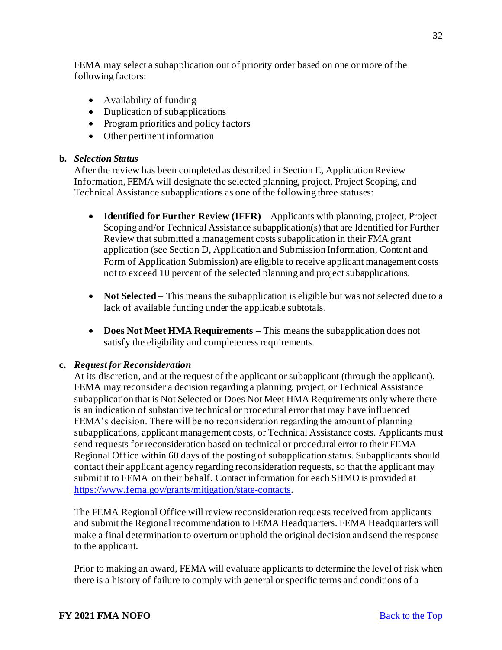FEMA may select a subapplication out of priority order based on one or more of the following factors:

- Availability of funding
- Duplication of subapplications
- Program priorities and policy factors
- Other pertinent information

### **b.** *Selection Status*

After the review has been completed as described in Section E, Application Review Information, FEMA will designate the selected planning, project, Project Scoping, and Technical Assistance subapplications as one of the following three statuses:

- **Identified for Further Review (IFFR)** Applicants with planning, project, Project Scoping and/or Technical Assistance subapplication(s) that are Identified for Further Review that submitted a management costs subapplication in their FMA grant application (see Section D, Application and Submission Information, Content and Form of Application Submission) are eligible to receive applicant management costs not to exceed 10 percent of the selected planning and project subapplications.
- **Not Selected** This means the subapplication is eligible but was not selected due to a lack of available funding under the applicable subtotals.
- **Does Not Meet HMA Requirements –** This means the subapplication does not satisfy the eligibility and completeness requirements.

# **c.** *Request for Reconsideration*

At its discretion, and at the request of the applicant or subapplicant (through the applicant), FEMA may reconsider a decision regarding a planning, project, or Technical Assistance subapplication that is Not Selected or Does Not Meet HMA Requirements only where there is an indication of substantive technical or procedural error that may have influenced FEMA's decision. There will be no reconsideration regarding the amount of planning subapplications, applicant management costs, or Technical Assistance costs. Applicants must send requests for reconsideration based on technical or procedural error to their FEMA Regional Office within 60 days of the posting of subapplication status. Subapplicants should contact their applicant agency regarding reconsideration requests, so that the applicant may submit it to FEMA on their behalf. Contact information for each SHMO is provided at <https://www.fema.gov/grants/mitigation/state-contacts>.

The FEMA Regional Office will review reconsideration requests received from applicants and submit the Regional recommendation to FEMA Headquarters. FEMA Headquarters will make a final determination to overturn or uphold the original decision and send the response to the applicant.

Prior to making an award, FEMA will evaluate applicants to determine the level of risk when there is a history of failure to comply with general or specific terms and conditions of a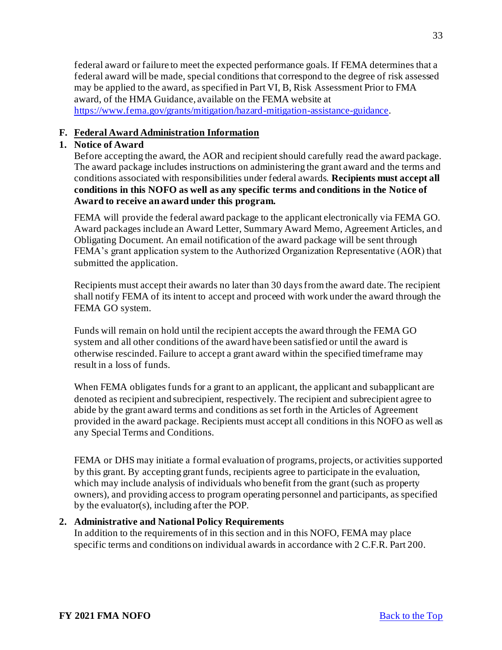federal award or failure to meet the expected performance goals. If FEMA determines that a federal award will be made, special conditions that correspond to the degree of risk assessed may be applied to the award, as specified in Part VI, B, Risk Assessment Prior to FMA award, of the HMA Guidance, available on the FEMA website at <https://www.fema.gov/grants/mitigation/hazard-mitigation-assistance-guidance>.

# <span id="page-32-0"></span>**F. Federal Award Administration Information**

# <span id="page-32-1"></span>**1. Notice of Award**

Before accepting the award, the AOR and recipient should carefully read the award package. The award package includes instructions on administering the grant award and the terms and conditions associated with responsibilities under federal awards. **Recipients must accept all conditions in this NOFO as well as any specific terms and conditions in the Notice of Award to receive an award under this program.**

FEMA will provide the federal award package to the applicant electronically via FEMA GO. Award packages include an Award Letter, Summary Award Memo, Agreement Articles, and Obligating Document. An email notification of the award package will be sent through FEMA's grant application system to the Authorized Organization Representative (AOR) that submitted the application.

Recipients must accept their awards no later than 30 days from the award date. The recipient shall notify FEMA of its intent to accept and proceed with work under the award through the FEMA GO system.

Funds will remain on hold until the recipient accepts the award through the FEMA GO system and all other conditions of the award have been satisfied or until the award is otherwise rescinded. Failure to accept a grant award within the specified timeframe may result in a loss of funds.

When FEMA obligates funds for a grant to an applicant, the applicant and subapplicant are denoted as recipient and subrecipient, respectively. The recipient and subrecipient agree to abide by the grant award terms and conditions as set forth in the Articles of Agreement provided in the award package. Recipients must accept all conditions in this NOFO as well as any Special Terms and Conditions.

FEMA or DHS may initiate a formal evaluation of programs, projects, or activities supported by this grant. By accepting grant funds, recipients agree to participate in the evaluation, which may include analysis of individuals who benefit from the grant (such as property owners), and providing access to program operating personnel and participants, as specified by the evaluator(s), including after the POP.

# <span id="page-32-2"></span>**2. Administrative and National Policy Requirements**

In addition to the requirements of in this section and in this NOFO, FEMA may place specific terms and conditions on individual awards in accordance with 2 C.F.R. Part 200.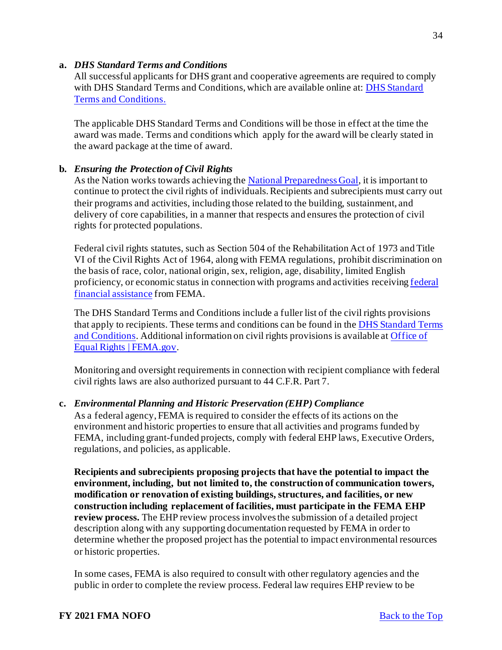#### **a.** *DHS Standard Terms and Conditions*

All successful applicants for DHS grant and cooperative agreements are required to comply with DHS Standard Terms and Conditions, which are available online at: DHS Standard Terms and Conditions.

The applicable DHS Standard Terms and Conditions will be those in effect at the time the award was made. Terms and conditions which apply for the award will be clearly stated in the award package at the time of award.

## **b.** *Ensuring the Protection of Civil Rights*

As the Nation works towards achieving th[e National Preparedness Goal](https://www.fema.gov/national-preparedness-goal), it is important to continue to protect the civil rights of individuals. Recipients and subrecipients must carry out their programs and activities, including those related to the building, sustainment, and delivery of core capabilities, in a manner that respects and ensures the protection of civil rights for protected populations.

Federal civil rights statutes, such as Section 504 of the Rehabilitation Act of 1973 and Title VI of the Civil Rights Act of 1964, along with FEMA regulations, prohibit discrimination on the basis of race, color, national origin, sex, religion, age, disability, limited English [proficiency, or economic status in connection with programs and activities receiving federal](https://www.ecfr.gov/cgi-bin/text-idx?SID=5e41f4d1a74f253d602c5a7fdc4fc2d8&mc=true&node=se44.1.7_1913&rgn=div8)  financial assistance from FEMA.

The DHS Standard Terms and Conditions include a fuller list of the civil rights provisions that apply to recipients. These terms and conditions can be found in the [DHS Standard Terms](https://www.dhs.gov/publication/fy15-dhs-standard-terms-and-conditions)  and Conditions. Additional information on civil rights provisions is available at [Office of](https://www.fema.gov/about/offices/equal-rights)  Equal Rights | FEMA.gov.

Monitoring and oversight requirements in connection with recipient compliance with federal civil rights laws are also authorized pursuant to 44 C.F.R. Part 7.

# **c.** *Environmental Planning and Historic Preservation (EHP) Compliance*

As a federal agency, FEMA is required to consider the effects of its actions on the environment and historic properties to ensure that all activities and programs funded by FEMA, including grant-funded projects, comply with federal EHP laws, Executive Orders, regulations, and policies, as applicable.

**Recipients and subrecipients proposing projects that have the potential to impact the environment, including, but not limited to, the construction of communication towers, modification or renovation of existing buildings, structures, and facilities, or new construction including replacement of facilities, must participate in the FEMA EHP review process.** The EHP review process involves the submission of a detailed project description along with any supporting documentation requested by FEMA in order to determine whether the proposed project has the potential to impact environmental resources or historic properties.

In some cases, FEMA is also required to consult with other regulatory agencies and the public in order to complete the review process. Federal law requires EHP review to be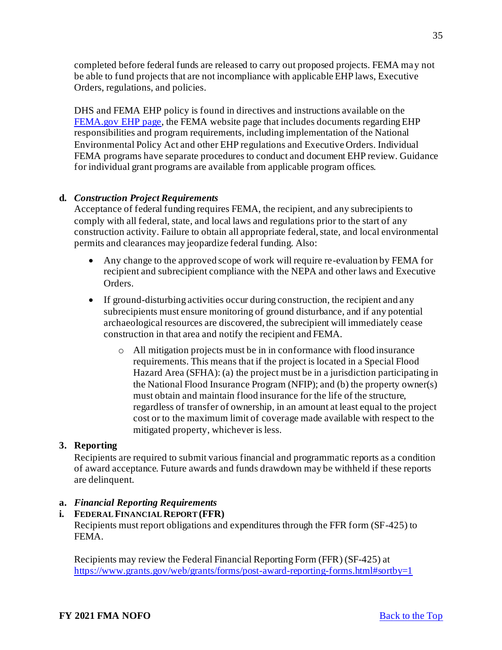completed before federal funds are released to carry out proposed projects. FEMA may not be able to fund projects that are not incompliance with applicable EHP laws, Executive Orders, regulations, and policies.

DHS and FEMA EHP policy is found in directives and instructions available on the [FEMA.gov EHP page,](https://www.fema.gov/emergency-managers/practitioners/environmental-historic/laws) the FEMA website page that includes documents regarding EHP responsibilities and program requirements, including implementation of the National Environmental Policy Act and other EHP regulations and Executive Orders. Individual FEMA programs have separate procedures to conduct and document EHP review. Guidance for individual grant programs are available from applicable program offices.

# **d.** *Construction Project Requirements*

Acceptance of federal funding requires FEMA, the recipient, and any subrecipients to comply with all federal, state, and local laws and regulations prior to the start of any construction activity. Failure to obtain all appropriate federal, state, and local environmental permits and clearances may jeopardize federal funding. Also:

- Any change to the approved scope of work will require re-evaluation by FEMA for recipient and subrecipient compliance with the NEPA and other laws and Executive Orders.
- If ground-disturbing activities occur during construction, the recipient and any subrecipients must ensure monitoring of ground disturbance, and if any potential archaeological resources are discovered, the subrecipient will immediately cease construction in that area and notify the recipient and FEMA.
	- o All mitigation projects must be in in conformance with flood insurance requirements. This means that if the project is located in a Special Flood Hazard Area (SFHA): (a) the project must be in a jurisdiction participating in the National Flood Insurance Program (NFIP); and (b) the property owner(s) must obtain and maintain flood insurance for the life of the structure, regardless of transfer of ownership, in an amount at least equal to the project cost or to the maximum limit of coverage made available with respect to the mitigated property, whichever is less.

# <span id="page-34-0"></span>**3. Reporting**

Recipients are required to submit various financial and programmatic reports as a condition of award acceptance. Future awards and funds drawdown may be withheld if these reports are delinquent.

# **a.** *Financial Reporting Requirements*

# **i. FEDERAL FINANCIAL REPORT (FFR)**

Recipients must report obligations and expenditures through the FFR form (SF-425) to FEMA.

Recipients may review the Federal Financial Reporting Form (FFR) (SF-425) at <https://www.grants.gov/web/grants/forms/post-award-reporting-forms.html#sortby=1>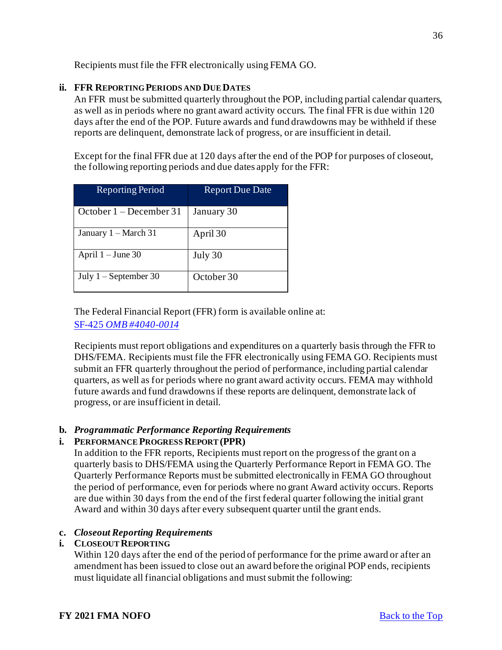Recipients must file the FFR electronically using FEMA GO.

# **ii. FFR REPORTING PERIODS AND DUE DATES**

An FFR must be submitted quarterly throughout the POP, including partial calendar quarters, as well as in periods where no grant award activity occurs. The final FFR is due within 120 days after the end of the POP. Future awards and fund drawdowns may be withheld if these reports are delinquent, demonstrate lack of progress, or are insufficient in detail.

Except for the final FFR due at 120 days after the end of the POP for purposes of closeout, the following reporting periods and due dates apply for the FFR:

| <b>Reporting Period</b>   | <b>Report Due Date</b> |
|---------------------------|------------------------|
| October $1 -$ December 31 | January 30             |
| January $1 - March 31$    | April 30               |
| April $1 -$ June 30       | July 30                |
| July $1 -$ September 30   | October 30             |

The Federal Financial Report (FFR) form is available online at: SF-425 *[OMB #4040-0014](https://www.grants.gov/web/grants/forms/post-award-reporting-forms.html#sortby=1)* 

Recipients must report obligations and expenditures on a quarterly basis through the FFR to DHS/FEMA. Recipients must file the FFR electronically using FEMA GO. Recipients must submit an FFR quarterly throughout the period of performance, including partial calendar quarters, as well as for periods where no grant award activity occurs. FEMA may withhold future awards and fund drawdowns if these reports are delinquent, demonstrate lack of progress, or are insufficient in detail.

# **b.** *Programmatic Performance Reporting Requirements*

#### **i. PERFORMANCE PROGRESS REPORT (PPR)**

In addition to the FFR reports, Recipients must report on the progress of the grant on a quarterly basis to DHS/FEMA using the Quarterly Performance Report in FEMA GO. The Quarterly Performance Reports must be submitted electronically in FEMA GO throughout the period of performance, even for periods where no grant Award activity occurs. Reports are due within 30 days from the end of the first federal quarter following the initial grant Award and within 30 days after every subsequent quarter until the grant ends.

#### **c.** *Closeout Reporting Requirements*

# **i. CLOSEOUT REPORTING**

Within 120 days after the end of the period of performance for the prime award or after an amendment has been issued to close out an award before the original POP ends, recipients must liquidate all financial obligations and must submit the following: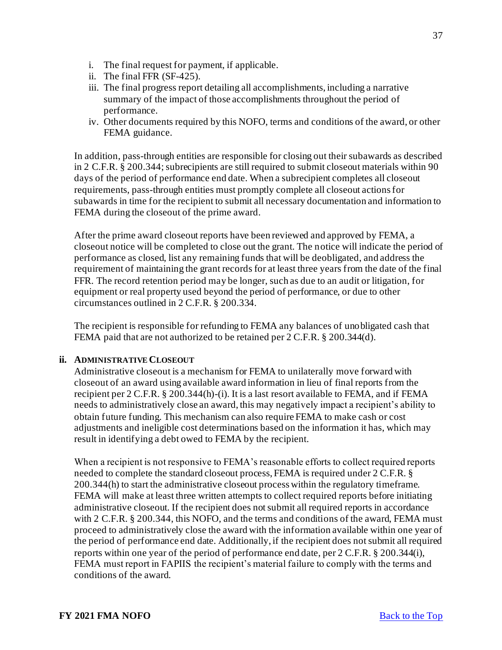- i. The final request for payment, if applicable.
- ii. The final FFR (SF-425).
- iii. The final progress report detailing all accomplishments, including a narrative summary of the impact of those accomplishments throughout the period of performance.
- iv. Other documents required by this NOFO, terms and conditions of the award, or other FEMA guidance.

In addition, pass-through entities are responsible for closing out their subawards as described in 2 C.F.R. § 200.344; subrecipients are still required to submit closeout materials within 90 days of the period of performance end date. When a subrecipient completes all closeout requirements, pass-through entities must promptly complete all closeout actions for subawards in time for the recipient to submit all necessary documentation and information to FEMA during the closeout of the prime award.

After the prime award closeout reports have been reviewed and approved by FEMA, a closeout notice will be completed to close out the grant. The notice will indicate the period of performance as closed, list any remaining funds that will be deobligated, and address the requirement of maintaining the grant records for at least three years from the date of the final FFR. The record retention period may be longer, such as due to an audit or litigation, for equipment or real property used beyond the period of performance, or due to other circumstances outlined in 2 C.F.R. § 200.334.

The recipient is responsible for refunding to FEMA any balances of unobligated cash that FEMA paid that are not authorized to be retained per 2 C.F.R. § 200.344(d).

#### **ii. ADMINISTRATIVE CLOSEOUT**

Administrative closeout is a mechanism for FEMA to unilaterally move forward with closeout of an award using available award information in lieu of final reports from the recipient per 2 C.F.R. § 200.344(h)-(i). It is a last resort available to FEMA, and if FEMA needs to administratively close an award, this may negatively impact a recipient's ability to obtain future funding. This mechanism can also require FEMA to make cash or cost adjustments and ineligible cost determinations based on the information it has, which may result in identifying a debt owed to FEMA by the recipient.

When a recipient is not responsive to FEMA's reasonable efforts to collect required reports needed to complete the standard closeout process, FEMA is required under 2 C.F.R. § 200.344(h) to start the administrative closeout process within the regulatory timeframe. FEMA will make at least three written attempts to collect required reports before initiating administrative closeout. If the recipient does not submit all required reports in accordance with 2 C.F.R. § 200.344, this NOFO, and the terms and conditions of the award, FEMA must proceed to administratively close the award with the information available within one year of the period of performance end date. Additionally, if the recipient does not submit all required reports within one year of the period of performance end date, per 2 C.F.R. § 200.344(i), FEMA must report in FAPIIS the recipient's material failure to comply with the terms and conditions of the award.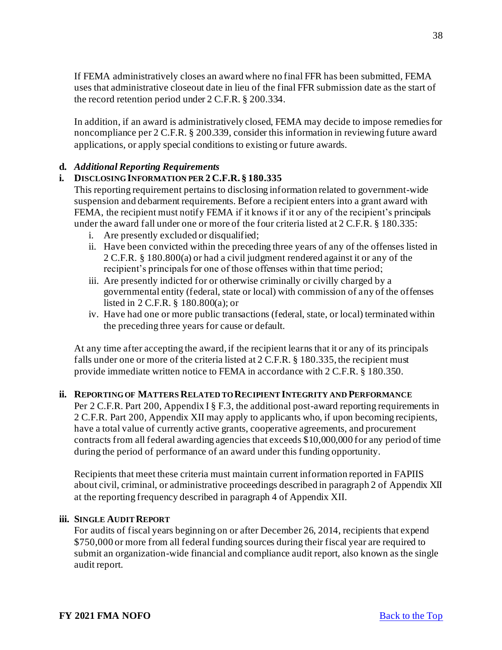If FEMA administratively closes an award where no final FFR has been submitted, FEMA uses that administrative closeout date in lieu of the final FFR submission date as the start of the record retention period under 2 C.F.R. § 200.334.

In addition, if an award is administratively closed, FEMA may decide to impose remedies for noncompliance per 2 C.F.R. § 200.339, consider this information in reviewing future award applications, or apply special conditions to existing or future awards.

# **d.** *Additional Reporting Requirements*

# **i. DISCLOSING INFORMATION PER 2 C.F.R. § 180.335**

This reporting requirement pertains to disclosing information related to government-wide suspension and debarment requirements. Before a recipient enters into a grant award with FEMA, the recipient must notify FEMA if it knows if it or any of the recipient's principals under the award fall under one or more of the four criteria listed at 2 C.F.R. § 180.335:

- i. Are presently excluded or disqualified;
- ii. Have been convicted within the preceding three years of any of the offenses listed in 2 C.F.R. § 180.800(a) or had a civil judgment rendered against it or any of the recipient's principals for one of those offenses within that time period;
- iii. Are presently indicted for or otherwise criminally or civilly charged by a governmental entity (federal, state or local) with commission of any of the offenses listed in 2 C.F.R. § 180.800(a); or
- iv. Have had one or more public transactions (federal, state, or local) terminated within the preceding three years for cause or default.

At any time after accepting the award, if the recipient learns that it or any of its principals falls under one or more of the criteria listed at 2 C.F.R. § 180.335, the recipient must provide immediate written notice to FEMA in accordance with 2 C.F.R. § 180.350.

# **ii. REPORTING OF MATTERS RELATED TO RECIPIENT INTEGRITY AND PERFORMANCE**

Per 2 C.F.R. Part 200, Appendix I § F.3, the additional post-award reporting requirements in 2 C.F.R. Part 200, Appendix XII may apply to applicants who, if upon becoming recipients, have a total value of currently active grants, cooperative agreements, and procurement contracts from all federal awarding agencies that exceeds \$10,000,000 for any period of time during the period of performance of an award under this funding opportunity.

Recipients that meet these criteria must maintain current information reported in FAPIIS about civil, criminal, or administrative proceedings described in paragraph 2 of Appendix XII at the reporting frequency described in paragraph 4 of Appendix XII.

# **iii. SINGLE AUDIT REPORT**

For audits of fiscal years beginning on or after December 26, 2014, recipients that expend \$750,000 or more from all federal funding sources during their fiscal year are required to submit an organization-wide financial and compliance audit report, also known as the single audit report.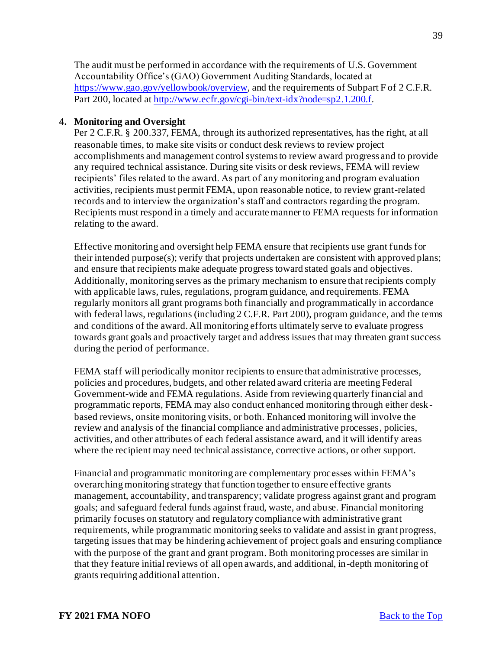The audit must be performed in accordance with the requirements of U.S. Government Accountability Office's (GAO) Government Auditing Standards, located at <https://www.gao.gov/yellowbook/overview>, and the requirements of Subpart F of 2 C.F.R. Part 200, located at <http://www.ecfr.gov/cgi-bin/text-idx?node=sp2.1.200.f>.

#### <span id="page-38-0"></span>**4. Monitoring and Oversight**

Per 2 C.F.R. § 200.337, FEMA, through its authorized representatives, has the right, at all reasonable times, to make site visits or conduct desk reviews to review project accomplishments and management control systems to review award progress and to provide any required technical assistance. During site visits or desk reviews, FEMA will review recipients' files related to the award. As part of any monitoring and program evaluation activities, recipients must permit FEMA, upon reasonable notice, to review grant-related records and to interview the organization's staff and contractors regarding the program. Recipients must respond in a timely and accurate manner to FEMA requests for information relating to the award.

Effective monitoring and oversight help FEMA ensure that recipients use grant funds for their intended purpose(s); verify that projects undertaken are consistent with approved plans; and ensure that recipients make adequate progress toward stated goals and objectives. Additionally, monitoring serves as the primary mechanism to ensure that recipients comply with applicable laws, rules, regulations, program guidance, and requirements. FEMA regularly monitors all grant programs both financially and programmatically in accordance with federal laws, regulations (including 2 C.F.R. Part 200), program guidance, and the terms and conditions of the award. All monitoring efforts ultimately serve to evaluate progress towards grant goals and proactively target and address issues that may threaten grant success during the period of performance.

FEMA staff will periodically monitor recipients to ensure that administrative processes, policies and procedures, budgets, and other related award criteria are meeting Federal Government-wide and FEMA regulations. Aside from reviewing quarterly financial and programmatic reports, FEMA may also conduct enhanced monitoring through either deskbased reviews, onsite monitoring visits, or both. Enhanced monitoring will involve the review and analysis of the financial compliance and administrative processes, policies, activities, and other attributes of each federal assistance award, and it will identify areas where the recipient may need technical assistance, corrective actions, or other support.

Financial and programmatic monitoring are complementary processes within FEMA's overarching monitoring strategy that function together to ensure effective grants management, accountability, and transparency; validate progress against grant and program goals; and safeguard federal funds against fraud, waste, and abuse. Financial monitoring primarily focuses on statutory and regulatory compliance with administrative grant requirements, while programmatic monitoring seeks to validate and assist in grant progress, targeting issues that may be hindering achievement of project goals and ensuring compliance with the purpose of the grant and grant program. Both monitoring processes are similar in that they feature initial reviews of all open awards, and additional, in-depth monitoring of grants requiring additional attention.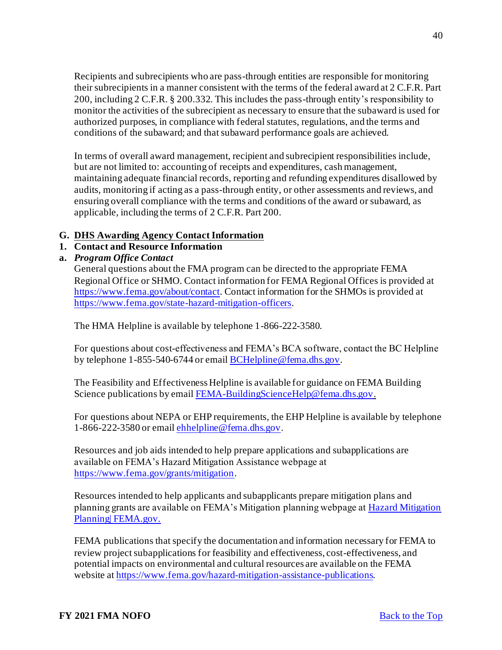Recipients and subrecipients who are pass-through entities are responsible for monitoring their subrecipients in a manner consistent with the terms of the federal award at 2 C.F.R. Part 200, including 2 C.F.R. § 200.332. This includes the pass-through entity's responsibility to monitor the activities of the subrecipient as necessary to ensure that the subaward is used for authorized purposes, in compliance with federal statutes, regulations, and the terms and conditions of the subaward; and that subaward performance goals are achieved.

In terms of overall award management, recipient and subrecipient responsibilities include, but are not limited to: accounting of receipts and expenditures, cash management, maintaining adequate financial records, reporting and refunding expenditures disallowed by audits, monitoring if acting as a pass-through entity, or other assessments and reviews, and ensuring overall compliance with the terms and conditions of the award or subaward, as applicable, including the terms of 2 C.F.R. Part 200.

## <span id="page-39-0"></span>**G. DHS Awarding Agency Contact Information**

## <span id="page-39-1"></span>**1. Contact and Resource Information**

**a.** *Program Office Contact* 

General questions about the FMA program can be directed to the appropriate FEMA Regional Office or SHMO. Contact information for FEMA Regional Offices is provided at <https://www.fema.gov/about/contact>. Contact information for the SHMOs is provided at <https://www.fema.gov/state-hazard-mitigation-officers>.

The HMA Helpline is available by telephone 1-866-222-3580.

For questions about cost-effectiveness and FEMA's BCA software, contact the BC Helpline by telephone 1-855-540-6744 or emai[l BCHelpline@fema.dhs.gov](mailto:BCHelpline@fema.dhs.gov).

The Feasibility and Effectiveness Helpline is available for guidance on FEMA Building Science publications by emai[l FEMA-BuildingScienceHelp@fema.dhs.gov](mailto:FEMA-BuildingScienceHelp@fema.dhs.gov).

For questions about NEPA or EHP requirements, the EHP Helpline is available by telephone 1-866-222-3580 or emai[l ehhelpline@fema.dhs.gov](mailto:ehhelpline@fema.dhs.gov).

Resources and job aids intended to help prepare applications and subapplications are available on FEMA's Hazard Mitigation Assistance webpage at <https://www.fema.gov/grants/mitigation>.

Resources intended to help applicants and subapplicants prepare mitigation plans and [planning grants are available on FEMA's Mitigation planning webpage at Hazard Mitigation](https://www.fema.gov/emergency-managers/risk-management/hazard-mitigation-planning)  Planning| FEMA.gov.

FEMA publications that specify the documentation and information necessary for FEMA to review project subapplications for feasibility and effectiveness, cost-effectiveness, and potential impacts on environmental and cultural resources are available on the FEMA website a[t https://www.fema.gov/hazard-mitigation-assistance-publications](https://www.fema.gov/hazard-mitigation-assistance-publications).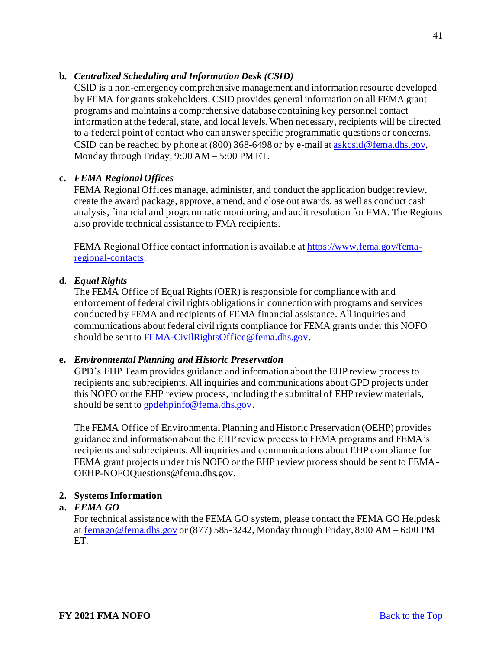#### **b.** *Centralized Scheduling and Information Desk (CSID)*

CSID is a non-emergency comprehensive management and information resource developed by FEMA for grants stakeholders. CSID provides general information on all FEMA grant programs and maintains a comprehensive database containing key personnel contact information at the federal, state, and local levels. When necessary, recipients will be directed to a federal point of contact who can answer specific programmatic questions or concerns. CSID can be reached by phone at  $(800)$  368-6498 or by e-mail a[t askcsid@fema.dhs.gov](mailto:askcsid@fema.dhs.gov), Monday through Friday, 9:00 AM – 5:00 PM ET.

#### **c.** *FEMA Regional Offices*

FEMA Regional Offices manage, administer, and conduct the application budget review, create the award package, approve, amend, and close out awards, as well as conduct cash analysis, financial and programmatic monitoring, and audit resolution for FMA. The Regions also provide technical assistance to FMA recipients.

[FEMA Regional Office contact information is available at https://www.fema.gov/fema](https://www.fema.gov/fema-regional-contacts)regional-contacts.

#### **d.** *Equal Rights*

The FEMA Office of Equal Rights (OER) is responsible for compliance with and enforcement of federal civil rights obligations in connection with programs and services conducted by FEMA and recipients of FEMA financial assistance. All inquiries and communications about federal civil rights compliance for FEMA grants under this NOFO should be sent t[o FEMA-CivilRightsOffice@fema.dhs.gov](mailto:FEMA-CivilRightsOffice@fema.dhs.gov).

#### **e.** *Environmental Planning and Historic Preservation*

GPD's EHP Team provides guidance and information about the EHP review process to recipients and subrecipients. All inquiries and communications about GPD projects under this NOFO or the EHP review process, including the submittal of EHP review materials, should be sent t[o gpdehpinfo@fema.dhs.gov](mailto:gpdehpinfo@fema.dhs.gov).

The FEMA Office of Environmental Planning and Historic Preservation (OEHP) provides guidance and information about the EHP review process to FEMA programs and FEMA's recipients and subrecipients. All inquiries and communications about EHP compliance for FEMA grant projects under this NOFO or the EHP review process should be sent to FEMA-OEHP-NOFOQuestions@fema.dhs.gov.

#### <span id="page-40-0"></span>**2. Systems Information**

#### **a.** *FEMA GO*

For technical assistance with the FEMA GO system, please contact the FEMA GO Helpdesk a[t femago@fema.dhs.gov](mailto:femago@fema.dhs.gov) or (877) 585-3242, Monday through Friday, 8:00 AM – 6:00 PM ET.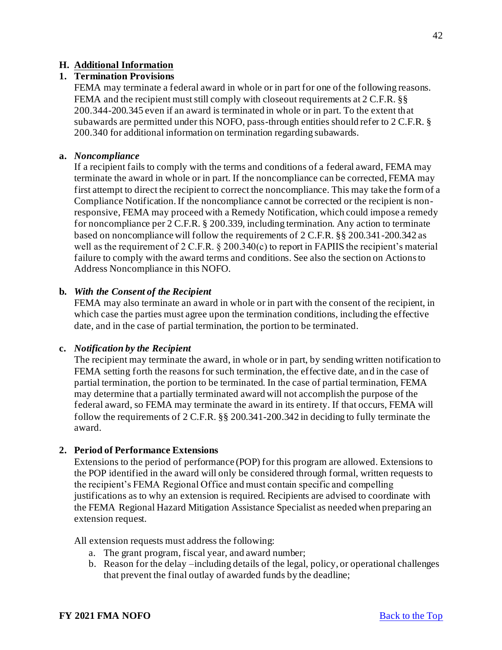# <span id="page-41-0"></span>**H. Additional Information**

#### <span id="page-41-1"></span>**1. Termination Provisions**

FEMA may terminate a federal award in whole or in part for one of the following reasons. FEMA and the recipient must still comply with closeout requirements at 2 C.F.R. §§ 200.344-200.345 even if an award is terminated in whole or in part. To the extent that subawards are permitted under this NOFO, pass-through entities should refer to 2 C.F.R. § 200.340 for additional information on termination regarding subawards.

#### **a.** *Noncompliance*

If a recipient fails to comply with the terms and conditions of a federal award, FEMA may terminate the award in whole or in part. If the noncompliance can be corrected, FEMA may first attempt to direct the recipient to correct the noncompliance. This may take the form of a Compliance Notification. If the noncompliance cannot be corrected or the recipient is nonresponsive, FEMA may proceed with a Remedy Notification, which could impose a remedy for noncompliance per 2 C.F.R. § 200.339, including termination. Any action to terminate based on noncompliance will follow the requirements of 2 C.F.R. §§ 200.341-200.342 as well as the requirement of 2 C.F.R. § 200.340(c) to report in FAPIIS the recipient's material failure to comply with the award terms and conditions. See also the section on Actions to Address Noncompliance in this NOFO.

#### **b.** *With the Consent of the Recipient*

FEMA may also terminate an award in whole or in part with the consent of the recipient, in which case the parties must agree upon the termination conditions, including the effective date, and in the case of partial termination, the portion to be terminated.

#### **c.** *Notification by the Recipient*

The recipient may terminate the award, in whole or in part, by sending written notification to FEMA setting forth the reasons for such termination, the effective date, and in the case of partial termination, the portion to be terminated. In the case of partial termination, FEMA may determine that a partially terminated award will not accomplish the purpose of the federal award, so FEMA may terminate the award in its entirety. If that occurs, FEMA will follow the requirements of 2 C.F.R. §§ 200.341-200.342 in deciding to fully terminate the award.

#### <span id="page-41-2"></span>**2. Period of Performance Extensions**

Extensions to the period of performance (POP) for this program are allowed. Extensions to the POP identified in the award will only be considered through formal, written requests to the recipient's FEMA Regional Office and must contain specific and compelling justifications as to why an extension is required. Recipients are advised to coordinate with the FEMA Regional Hazard Mitigation Assistance Specialist as needed when preparing an extension request.

All extension requests must address the following:

- a. The grant program, fiscal year, and award number;
- b. Reason for the delay –including details of the legal, policy, or operational challenges that prevent the final outlay of awarded funds by the deadline;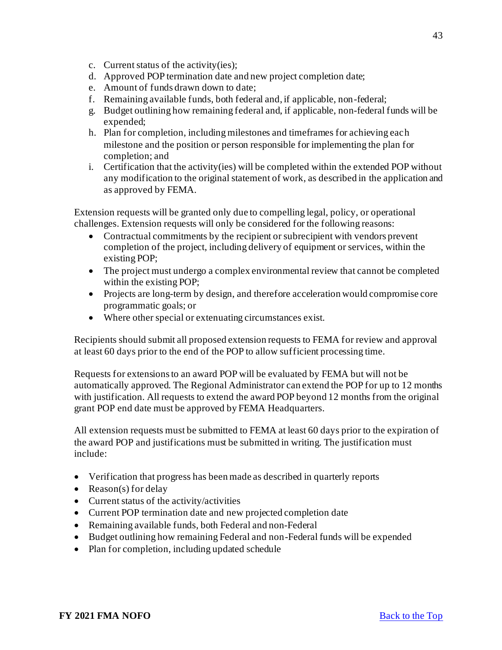- c. Current status of the activity(ies);
- d. Approved POP termination date and new project completion date;
- e. Amount of funds drawn down to date;
- f. Remaining available funds, both federal and, if applicable, non-federal;
- g. Budget outlining how remaining federal and, if applicable, non-federal funds will be expended;
- h. Plan for completion, including milestones and timeframes for achieving each milestone and the position or person responsible for implementing the plan for completion; and
- i. Certification that the activity(ies) will be completed within the extended POP without any modification to the original statement of work, as described in the application and as approved by FEMA.

Extension requests will be granted only due to compelling legal, policy, or operational challenges. Extension requests will only be considered for the following reasons:

- Contractual commitments by the recipient or subrecipient with vendors prevent completion of the project, including delivery of equipment or services, within the existing POP;
- The project must undergo a complex environmental review that cannot be completed within the existing POP;
- Projects are long-term by design, and therefore acceleration would compromise core programmatic goals; or
- Where other special or extenuating circumstances exist.

Recipients should submit all proposed extension requests to FEMA for review and approval at least 60 days prior to the end of the POP to allow sufficient processing time.

Requests for extensions to an award POP will be evaluated by FEMA but will not be automatically approved. The Regional Administrator can extend the POP for up to 12 months with justification. All requests to extend the award POP beyond 12 months from the original grant POP end date must be approved by FEMA Headquarters.

All extension requests must be submitted to FEMA at least 60 days prior to the expiration of the award POP and justifications must be submitted in writing. The justification must include:

- Verification that progress has been made as described in quarterly reports
- Reason(s) for delay
- Current status of the activity/activities
- Current POP termination date and new projected completion date
- Remaining available funds, both Federal and non-Federal
- Budget outlining how remaining Federal and non-Federal funds will be expended
- Plan for completion, including updated schedule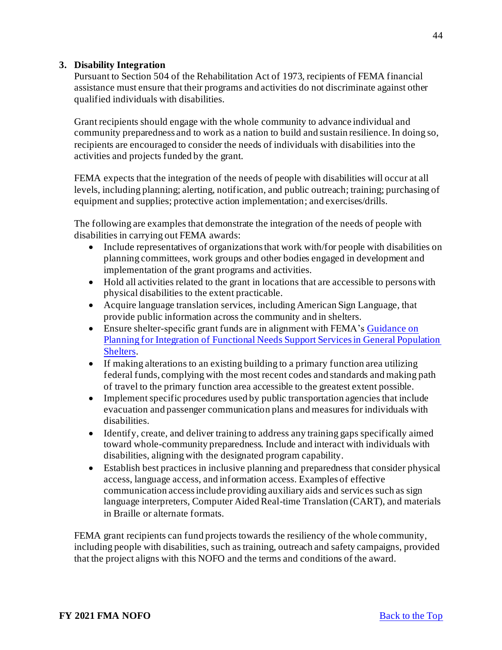# <span id="page-43-0"></span>**3. Disability Integration**

Pursuant to Section 504 of the Rehabilitation Act of 1973, recipients of FEMA financial assistance must ensure that their programs and activities do not discriminate against other qualified individuals with disabilities.

Grant recipients should engage with the whole community to advance individual and community preparedness and to work as a nation to build and sustain resilience. In doing so, recipients are encouraged to consider the needs of individuals with disabilities into the activities and projects funded by the grant.

FEMA expects that the integration of the needs of people with disabilities will occur at all levels, including planning; alerting, notification, and public outreach; training; purchasing of equipment and supplies; protective action implementation; and exercises/drills.

The following are examples that demonstrate the integration of the needs of people with disabilities in carrying out FEMA awards:

- Include representatives of organizations that work with/for people with disabilities on planning committees, work groups and other bodies engaged in development and implementation of the grant programs and activities.
- Hold all activities related to the grant in locations that are accessible to persons with physical disabilities to the extent practicable.
- Acquire language translation services, including American Sign Language, that provide public information across the community and in shelters.
- Ensure shelter-specific grant funds are in alignment with FEMA's Guidance on [Planning for Integration of Functional Needs Support Services in General Population](https://www.fema.gov/media-library/assets/documents/26441)  Shelters.
- If making alterations to an existing building to a primary function area utilizing federal funds, complying with the most recent codes and standards and making path of travel to the primary function area accessible to the greatest extent possible.
- Implement specific procedures used by public transportation agencies that include evacuation and passenger communication plans and measures for individuals with disabilities.
- Identify, create, and deliver training to address any training gaps specifically aimed toward whole-community preparedness. Include and interact with individuals with disabilities, aligning with the designated program capability.
- Establish best practices in inclusive planning and preparedness that consider physical access, language access, and information access. Examples of effective communication access include providing auxiliary aids and services such as sign language interpreters, Computer Aided Real-time Translation (CART), and materials in Braille or alternate formats.

FEMA grant recipients can fund projects towards the resiliency of the whole community, including people with disabilities, such as training, outreach and safety campaigns, provided that the project aligns with this NOFO and the terms and conditions of the award.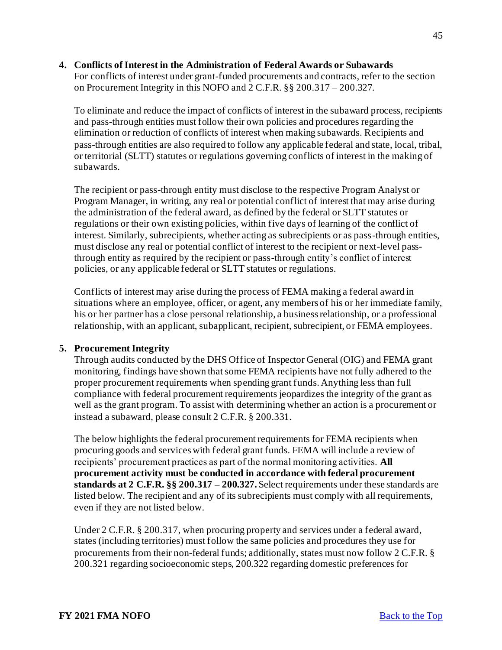### <span id="page-44-0"></span>**4. Conflicts of Interest in the Administration of Federal Awards or Subawards**

For conflicts of interest under grant-funded procurements and contracts, refer to the section on Procurement Integrity in this NOFO and 2 C.F.R. §§ 200.317 – 200.327.

To eliminate and reduce the impact of conflicts of interest in the subaward process, recipients and pass-through entities must follow their own policies and procedures regarding the elimination or reduction of conflicts of interest when making subawards. Recipients and pass-through entities are also required to follow any applicable federal and state, local, tribal, or territorial (SLTT) statutes or regulations governing conflicts of interest in the making of subawards.

The recipient or pass-through entity must disclose to the respective Program Analyst or Program Manager, in writing, any real or potential conflict of interest that may arise during the administration of the federal award, as defined by the federal or SLTT statutes or regulations or their own existing policies, within five days of learning of the conflict of interest. Similarly, subrecipients, whether acting as subrecipients or as pass-through entities, must disclose any real or potential conflict of interest to the recipient or next-level passthrough entity as required by the recipient or pass-through entity's conflict of interest policies, or any applicable federal or SLTT statutes or regulations.

Conflicts of interest may arise during the process of FEMA making a federal award in situations where an employee, officer, or agent, any members of his or her immediate family, his or her partner has a close personal relationship, a business relationship, or a professional relationship, with an applicant, subapplicant, recipient, subrecipient, or FEMA employees.

# <span id="page-44-1"></span>**5. Procurement Integrity**

Through audits conducted by the DHS Office of Inspector General (OIG) and FEMA grant monitoring, findings have shown that some FEMA recipients have not fully adhered to the proper procurement requirements when spending grant funds. Anything less than full compliance with federal procurement requirements jeopardizes the integrity of the grant as well as the grant program. To assist with determining whether an action is a procurement or instead a subaward, please consult 2 C.F.R. § 200.331.

The below highlights the federal procurement requirements for FEMA recipients when procuring goods and services with federal grant funds. FEMA will include a review of recipients' procurement practices as part of the normal monitoring activities. **All procurement activity must be conducted in accordance with federal procurement standards at 2 C.F.R. §§ 200.317 – 200.327.** Select requirements under these standards are listed below. The recipient and any of its subrecipients must comply with all requirements, even if they are not listed below.

Under 2 C.F.R. § 200.317, when procuring property and services under a federal award, states (including territories) must follow the same policies and procedures they use for procurements from their non-federal funds; additionally, states must now follow 2 C.F.R. § 200.321 regarding socioeconomic steps, 200.322 regarding domestic preferences for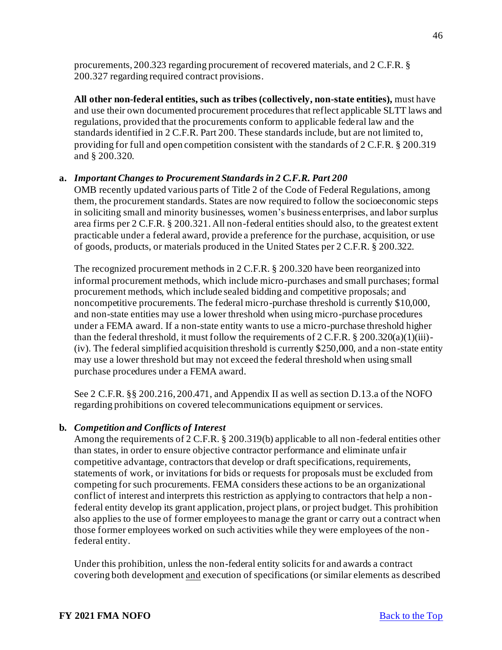procurements, 200.323 regarding procurement of recovered materials, and 2 C.F.R. § 200.327 regarding required contract provisions.

**All other non-federal entities, such as tribes (collectively, non-state entities),** must have and use their own documented procurement procedures that reflect applicable SLTT laws and regulations, provided that the procurements conform to applicable federal law and the standards identified in 2 C.F.R. Part 200. These standards include, but are not limited to, providing for full and open competition consistent with the standards of 2 C.F.R. § 200.319 and § 200.320.

#### **a.** *Important Changes to Procurement Standards in 2 C.F.R. Part 200*

OMB recently updated various parts of Title 2 of the Code of Federal Regulations, among them, the procurement standards. States are now required to follow the socioeconomic steps in soliciting small and minority businesses, women's business enterprises, and labor surplus area firms per 2 C.F.R. § 200.321. All non-federal entities should also, to the greatest extent practicable under a federal award, provide a preference for the purchase, acquisition, or use of goods, products, or materials produced in the United States per 2 C.F.R. § 200.322.

The recognized procurement methods in 2 C.F.R. § 200.320 have been reorganized into informal procurement methods, which include micro-purchases and small purchases; formal procurement methods, which include sealed bidding and competitive proposals; and noncompetitive procurements. The federal micro-purchase threshold is currently \$10,000, and non-state entities may use a lower threshold when using micro-purchase procedures under a FEMA award. If a non-state entity wants to use a micro-purchase threshold higher than the federal threshold, it must follow the requirements of  $2 \text{ C.F.R.}$  §  $200.320(a)(1)(iii)$ -(iv). The federal simplified acquisition threshold is currently \$250,000, and a non-state entity may use a lower threshold but may not exceed the federal threshold when using small purchase procedures under a FEMA award.

See 2 C.F.R. §§ 200.216, 200.471, and Appendix II as well as section D.13.a of the NOFO regarding prohibitions on covered telecommunications equipment or services.

#### **b.** *Competition and Conflicts of Interest*

Among the requirements of 2 C.F.R. § 200.319(b) applicable to all non-federal entities other than states, in order to ensure objective contractor performance and eliminate unfair competitive advantage, contractors that develop or draft specifications, requirements, statements of work, or invitations for bids or requests for proposals must be excluded from competing for such procurements. FEMA considers these actions to be an organizational conflict of interest and interprets this restriction as applying to contractors that help a nonfederal entity develop its grant application, project plans, or project budget. This prohibition also applies to the use of former employees to manage the grant or carry out a contract when those former employees worked on such activities while they were employees of the non federal entity.

Under this prohibition, unless the non-federal entity solicits for and awards a contract covering both development and execution of specifications (or similar elements as described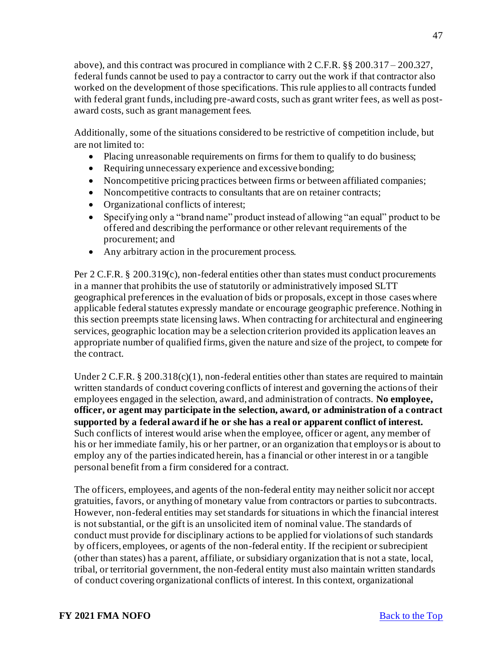above), and this contract was procured in compliance with 2 C.F.R. §§ 200.317 – 200.327, federal funds cannot be used to pay a contractor to carry out the work if that contractor also worked on the development of those specifications. This rule applies to all contracts funded with federal grant funds, including pre-award costs, such as grant writer fees, as well as postaward costs, such as grant management fees.

Additionally, some of the situations considered to be restrictive of competition include, but are not limited to:

- Placing unreasonable requirements on firms for them to qualify to do business;
- Requiring unnecessary experience and excessive bonding;
- Noncompetitive pricing practices between firms or between affiliated companies;
- Noncompetitive contracts to consultants that are on retainer contracts;
- Organizational conflicts of interest;
- Specifying only a "brand name" product instead of allowing "an equal" product to be offered and describing the performance or other relevant requirements of the procurement; and
- Any arbitrary action in the procurement process.

Per 2 C.F.R. § 200.319(c), non-federal entities other than states must conduct procurements in a manner that prohibits the use of statutorily or administratively imposed SLTT geographical preferences in the evaluation of bids or proposals, except in those cases where applicable federal statutes expressly mandate or encourage geographic preference. Nothing in this section preempts state licensing laws. When contracting for architectural and engineering services, geographic location may be a selection criterion provided its application leaves an appropriate number of qualified firms, given the nature and size of the project, to compete for the contract.

Under 2 C.F.R.  $\S 200.318(c)(1)$ , non-federal entities other than states are required to maintain written standards of conduct covering conflicts of interest and governing the actions of their employees engaged in the selection, award, and administration of contracts. **No employee, officer, or agent may participate in the selection, award, or administration of a contract supported by a federal award if he or she has a real or apparent conflict of interest.** Such conflicts of interest would arise when the employee, officer or agent, any member of his or her immediate family, his or her partner, or an organization that employs or is about to employ any of the parties indicated herein, has a financial or other interest in or a tangible personal benefit from a firm considered for a contract.

The officers, employees, and agents of the non-federal entity may neither solicit nor accept gratuities, favors, or anything of monetary value from contractors or parties to subcontracts. However, non-federal entities may set standards for situations in which the financial interest is not substantial, or the gift is an unsolicited item of nominal value. The standards of conduct must provide for disciplinary actions to be applied for violations of such standards by officers, employees, or agents of the non-federal entity. If the recipient or subrecipient (other than states) has a parent, affiliate, or subsidiary organization that is not a state, local, tribal, or territorial government, the non-federal entity must also maintain written standards of conduct covering organizational conflicts of interest. In this context, organizational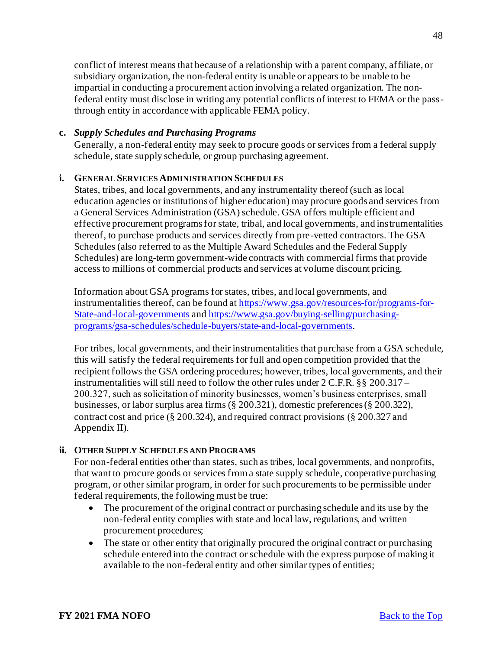conflict of interest means that because of a relationship with a parent company, affiliate, or subsidiary organization, the non-federal entity is unable or appears to be unable to be impartial in conducting a procurement action involving a related organization. The nonfederal entity must disclose in writing any potential conflicts of interest to FEMA or the passthrough entity in accordance with applicable FEMA policy.

# **c.** *Supply Schedules and Purchasing Programs*

Generally, a non-federal entity may seek to procure goods or services from a federal supply schedule, state supply schedule, or group purchasing agreement.

## **i. GENERAL SERVICES ADMINISTRATION SCHEDULES**

States, tribes, and local governments, and any instrumentality thereof (such as local education agencies or institutions of higher education) may procure goods and services from a General Services Administration (GSA) schedule. GSA offers multiple efficient and effective procurement programs for state, tribal, and local governments, and instrumentalities thereof, to purchase products and services directly from pre-vetted contractors. The GSA Schedules (also referred to as the Multiple Award Schedules and the Federal Supply Schedules) are long-term government-wide contracts with commercial firms that provide access to millions of commercial products and services at volume discount pricing.

Information about GSA programs for states, tribes, and local governments, and instrumentalities thereof, can be found at [https://www.gsa.gov/resources-for/programs-for-](https://www.gsa.gov/resources-for/programs-for-State-and-local-governments)State-and-local-governments and [https://www.gsa.gov/buying-selling/purchasing](https://www.gsa.gov/buying-selling/purchasing-programs/gsa-schedules/schedule-buyers/state-and-local-governments)programs/gsa-schedules/schedule-buyers/state-and-local-governments.

For tribes, local governments, and their instrumentalities that purchase from a GSA schedule, this will satisfy the federal requirements for full and open competition provided that the recipient follows the GSA ordering procedures; however, tribes, local governments, and their instrumentalities will still need to follow the other rules under 2 C.F.R. §§ 200.317 – 200.327, such as solicitation of minority businesses, women's business enterprises, small businesses, or labor surplus area firms (§ 200.321), domestic preferences (§ 200.322), contract cost and price (§ 200.324), and required contract provisions (§ 200.327 and Appendix II).

#### **ii. OTHER SUPPLY SCHEDULES AND PROGRAMS**

For non-federal entities other than states, such as tribes, local governments, and nonprofits, that want to procure goods or services from a state supply schedule, cooperative purchasing program, or other similar program, in order for such procurements to be permissible under federal requirements, the following must be true:

- The procurement of the original contract or purchasing schedule and its use by the non-federal entity complies with state and local law, regulations, and written procurement procedures;
- The state or other entity that originally procured the original contract or purchasing schedule entered into the contract or schedule with the express purpose of making it available to the non-federal entity and other similar types of entities;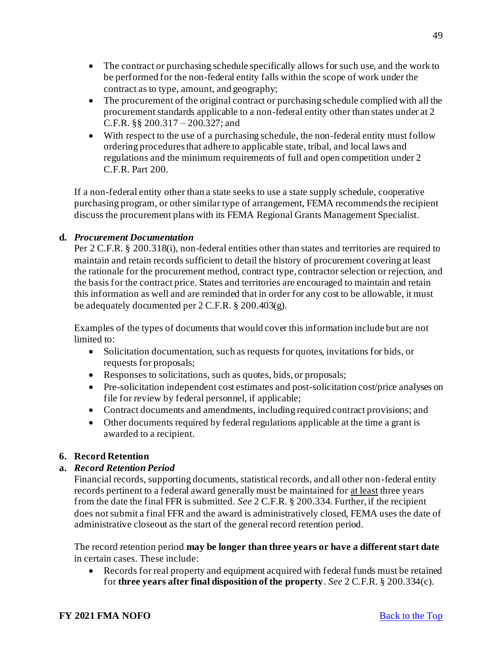- The contract or purchasing schedule specifically allows for such use, and the work to be performed for the non-federal entity falls within the scope of work under the contract as to type, amount, and geography;
- The procurement of the original contract or purchasing schedule complied with all the procurement standards applicable to a non-federal entity other than states under at 2 C.F.R. §§ 200.317 – 200.327; and
- With respect to the use of a purchasing schedule, the non-federal entity must follow ordering procedures that adhere to applicable state, tribal, and local laws and regulations and the minimum requirements of full and open competition under 2 C.F.R. Part 200.

If a non-federal entity other than a state seeks to use a state supply schedule, cooperative purchasing program, or other similar type of arrangement, FEMA recommends the recipient discuss the procurement plans with its FEMA Regional Grants Management Specialist.

# **d.** *Procurement Documentation*

Per 2 C.F.R. § 200.318(i), non-federal entities other than states and territories are required to maintain and retain records sufficient to detail the history of procurement covering at least the rationale for the procurement method, contract type, contractor selection or rejection, and the basis for the contract price. States and territories are encouraged to maintain and retain this information as well and are reminded that in order for any cost to be allowable, it must be adequately documented per 2 C.F.R. § 200.403(g).

Examples of the types of documents that would cover this information include but are not limited to:

- Solicitation documentation, such as requests for quotes, invitations for bids, or requests for proposals;
- Responses to solicitations, such as quotes, bids, or proposals;
- Pre-solicitation independent cost estimates and post-solicitation cost/price analyses on file for review by federal personnel, if applicable;
- Contract documents and amendments, including required contract provisions; and
- Other documents required by federal regulations applicable at the time a grant is awarded to a recipient.

# <span id="page-48-0"></span>**6. Record Retention**

# **a.** *Record Retention Period*

Financial records, supporting documents, statistical records, and all other non-federal entity records pertinent to a federal award generally must be maintained for at least three years from the date the final FFR is submitted. *See* 2 C.F.R. § 200.334. Further, if the recipient does not submit a final FFR and the award is administratively closed, FEMA uses the date of administrative closeout as the start of the general record retention period.

The record retention period **may be longer than three years or have a different start date**  in certain cases. These include:

• Records for real property and equipment acquired with federal funds must be retained for **three years after final disposition of the property**. *See* 2 C.F.R. § 200.334(c).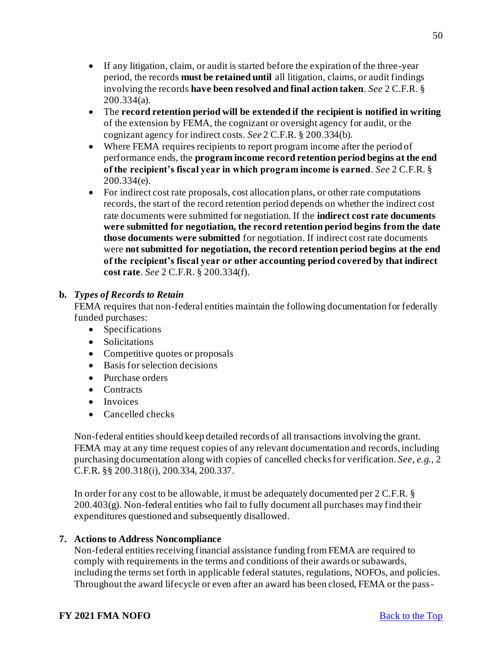- If any litigation, claim, or audit is started before the expiration of the three-year period, the records **must be retained until** all litigation, claims, or audit findings involving the records **have been resolved and final action taken**. *See* 2 C.F.R. § 200.334(a).
- The **record retention period will be extended if the recipient is notified in writing** of the extension by FEMA, the cognizant or oversight agency for audit, or the cognizant agency for indirect costs. *See* 2 C.F.R. § 200.334(b).
- Where FEMA requires recipients to report program income after the period of performance ends, the **program income record retention period begins at the end of the recipient's fiscal year in which program income is earned**. *See* 2 C.F.R. § 200.334(e).
- For indirect cost rate proposals, cost allocation plans, or other rate computations records, the start of the record retention period depends on whether the indirect cost rate documents were submitted for negotiation. If the **indirect cost rate documents were submitted for negotiation, the record retention period begins from the date those documents were submitted** for negotiation. If indirect cost rate documents were **not submitted for negotiation, the record retention period begins at the end of the recipient's fiscal year or other accounting period covered by that indirect cost rate**. *See* 2 C.F.R. § 200.334(f).

# **b.** *Types of Records to Retain*

FEMA requires that non-federal entities maintain the following documentation for federally funded purchases:

- Specifications
- Solicitations
- Competitive quotes or proposals
- Basis for selection decisions
- Purchase orders
- Contracts
- Invoices
- Cancelled checks

Non-federal entities should keep detailed records of all transactions involving the grant. FEMA may at any time request copies of any relevant documentation and records, including purchasing documentation along with copies of cancelled checks for verification. *See, e.g.*, 2 C.F.R. §§ 200.318(i), 200.334, 200.337.

In order for any cost to be allowable, it must be adequately documented per 2 C.F.R. §  $200.403(g)$ . Non-federal entities who fail to fully document all purchases may find their expenditures questioned and subsequently disallowed.

# <span id="page-49-0"></span>**7. Actions to Address Noncompliance**

Non-federal entities receiving financial assistance funding from FEMA are required to comply with requirements in the terms and conditions of their awards or subawards, including the terms set forth in applicable federal statutes, regulations, NOFOs, and policies. Throughout the award lifecycle or even after an award has been closed, FEMA or the pass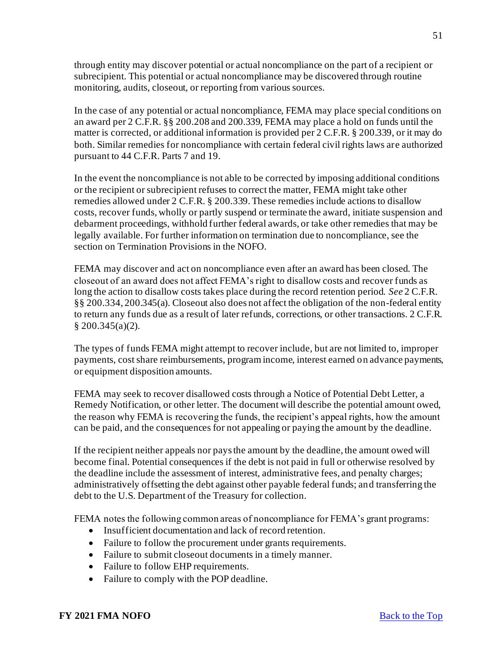through entity may discover potential or actual noncompliance on the part of a recipient or subrecipient. This potential or actual noncompliance may be discovered through routine monitoring, audits, closeout, or reporting from various sources.

In the case of any potential or actual noncompliance, FEMA may place special conditions on an award per 2 C.F.R. §§ 200.208 and 200.339, FEMA may place a hold on funds until the matter is corrected, or additional information is provided per 2 C.F.R. § 200.339, or it may do both. Similar remedies for noncompliance with certain federal civil rights laws are authorized pursuant to 44 C.F.R. Parts 7 and 19.

In the event the noncompliance is not able to be corrected by imposing additional conditions or the recipient or subrecipient refuses to correct the matter, FEMA might take other remedies allowed under 2 C.F.R. § 200.339. These remedies include actions to disallow costs, recover funds, wholly or partly suspend or terminate the award, initiate suspension and debarment proceedings, withhold further federal awards, or take other remedies that may be legally available. For further information on termination due to noncompliance, see the section on Termination Provisions in the NOFO.

FEMA may discover and act on noncompliance even after an award has been closed. The closeout of an award does not affect FEMA's right to disallow costs and recover funds as long the action to disallow costs takes place during the record retention period. *See* 2 C.F.R. §§ 200.334, 200.345(a). Closeout also does not affect the obligation of the non-federal entity to return any funds due as a result of later refunds, corrections, or other transactions. 2 C.F.R. § 200.345(a)(2).

The types of funds FEMA might attempt to recover include, but are not limited to, improper payments, cost share reimbursements, program income, interest earned on advance payments, or equipment disposition amounts.

FEMA may seek to recover disallowed costs through a Notice of Potential Debt Letter, a Remedy Notification, or other letter. The document will describe the potential amount owed, the reason why FEMA is recovering the funds, the recipient's appeal rights, how the amount can be paid, and the consequences for not appealing or paying the amount by the deadline.

If the recipient neither appeals nor pays the amount by the deadline, the amount owed will become final. Potential consequences if the debt is not paid in full or otherwise resolved by the deadline include the assessment of interest, administrative fees, and penalty charges; administratively offsetting the debt against other payable federal funds; and transferring the debt to the U.S. Department of the Treasury for collection.

FEMA notes the following common areas of noncompliance for FEMA's grant programs:

- Insufficient documentation and lack of record retention.
- Failure to follow the procurement under grants requirements.
- Failure to submit closeout documents in a timely manner.
- Failure to follow EHP requirements.
- Failure to comply with the POP deadline.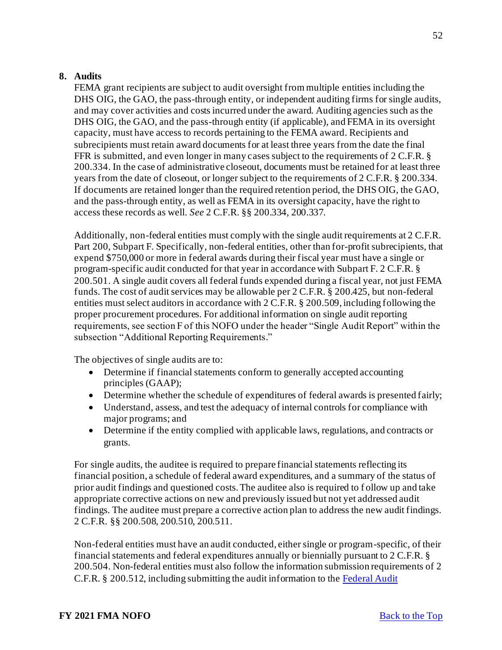#### <span id="page-51-0"></span>**8. Audits**

FEMA grant recipients are subject to audit oversight from multiple entities including the DHS OIG, the GAO, the pass-through entity, or independent auditing firms for single audits, and may cover activities and costs incurred under the award. Auditing agencies such as the DHS OIG, the GAO, and the pass-through entity (if applicable), and FEMA in its oversight capacity, must have access to records pertaining to the FEMA award. Recipients and subrecipients must retain award documents for at least three years from the date the final FFR is submitted, and even longer in many cases subject to the requirements of 2 C.F.R. § 200.334. In the case of administrative closeout, documents must be retained for at least three years from the date of closeout, or longer subject to the requirements of 2 C.F.R. § 200.334. If documents are retained longer than the required retention period, the DHS OIG, the GAO, and the pass-through entity, as well as FEMA in its oversight capacity, have the right to access these records as well. *See* 2 C.F.R. §§ 200.334, 200.337.

Additionally, non-federal entities must comply with the single audit requirements at 2 C.F.R. Part 200, Subpart F. Specifically, non-federal entities, other than for-profit subrecipients, that expend \$750,000 or more in federal awards during their fiscal year must have a single or program-specific audit conducted for that year in accordance with Subpart F. 2 C.F.R. § 200.501. A single audit covers all federal funds expended during a fiscal year, not just FEMA funds. The cost of audit services may be allowable per 2 C.F.R. § 200.425, but non-federal entities must select auditors in accordance with 2 C.F.R. § 200.509, including following the proper procurement procedures. For additional information on single audit reporting requirements, see section F of this NOFO under the header "Single Audit Report" within the subsection "Additional Reporting Requirements."

The objectives of single audits are to:

- Determine if financial statements conform to generally accepted accounting principles (GAAP);
- Determine whether the schedule of expenditures of federal awards is presented fairly;
- Understand, assess, and test the adequacy of internal controls for compliance with major programs; and
- Determine if the entity complied with applicable laws, regulations, and contracts or grants.

For single audits, the auditee is required to prepare financial statements reflecting its financial position, a schedule of federal award expenditures, and a summary of the status of prior audit findings and questioned costs. The auditee also is required to f ollow up and take appropriate corrective actions on new and previously issued but not yet addressed audit findings. The auditee must prepare a corrective action plan to address the new audit findings. 2 C.F.R. §§ 200.508, 200.510, 200.511.

Non-federal entities must have an audit conducted, either single or program-specific, of their financial statements and federal expenditures annually or biennially pursuant to 2 C.F.R. § 200.504. Non-federal entities must also follow the information submission requirements of 2 C.F.R. § 200.512, including submitting the audit information to th[e Federal Audit](https://harvester.census.gov/facweb/)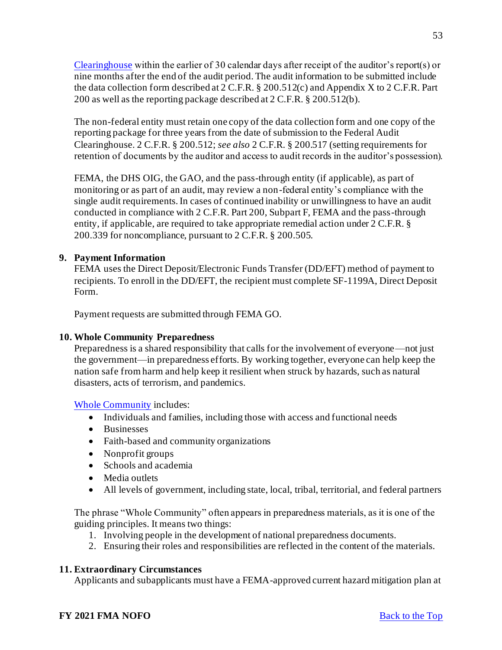Clearinghouse within the earlier of 30 calendar days after receipt of the auditor's report(s) or nine months after the end of the audit period. The audit information to be submitted include the data collection form described at 2 C.F.R. § 200.512(c) and Appendix X to 2 C.F.R. Part 200 as well as the reporting package described at 2 C.F.R. § 200.512(b).

The non-federal entity must retain one copy of the data collection form and one copy of the reporting package for three years from the date of submission to the Federal Audit Clearinghouse. 2 C.F.R. § 200.512; *see also* 2 C.F.R. § 200.517 (setting requirements for retention of documents by the auditor and access to audit records in the auditor's possession).

FEMA, the DHS OIG, the GAO, and the pass-through entity (if applicable), as part of monitoring or as part of an audit, may review a non-federal entity's compliance with the single audit requirements. In cases of continued inability or unwillingness to have an audit conducted in compliance with 2 C.F.R. Part 200, Subpart F, FEMA and the pass-through entity, if applicable, are required to take appropriate remedial action under 2 C.F.R. § 200.339 for noncompliance, pursuant to 2 C.F.R. § 200.505.

# <span id="page-52-0"></span>**9. Payment Information**

FEMA uses the Direct Deposit/Electronic Funds Transfer (DD/EFT) method of payment to recipients. To enroll in the DD/EFT, the recipient must complete SF-1199A, Direct Deposit Form.

Payment requests are submitted through FEMA GO.

# <span id="page-52-1"></span>**10. Whole Community Preparedness**

Preparedness is a shared responsibility that calls for the involvement of everyone—not just the government—in preparedness efforts. By working together, everyone can help keep the nation safe from harm and help keep it resilient when struck by hazards, such as natural disasters, acts of terrorism, and pandemics.

# [Whole Community](https://www.fema.gov/whole-community) includes:

- Individuals and families, including those with access and functional needs
- Businesses
- Faith-based and community organizations
- Nonprofit groups
- Schools and academia
- Media outlets
- All levels of government, including state, local, tribal, territorial, and federal partners

The phrase "Whole Community" often appears in preparedness materials, as it is one of the guiding principles. It means two things:

- 1. Involving people in the development of national preparedness documents.
- 2. Ensuring their roles and responsibilities are reflected in the content of the materials.

# <span id="page-52-2"></span>**11. Extraordinary Circumstances**

Applicants and subapplicants must have a FEMA-approved current hazard mitigation plan at